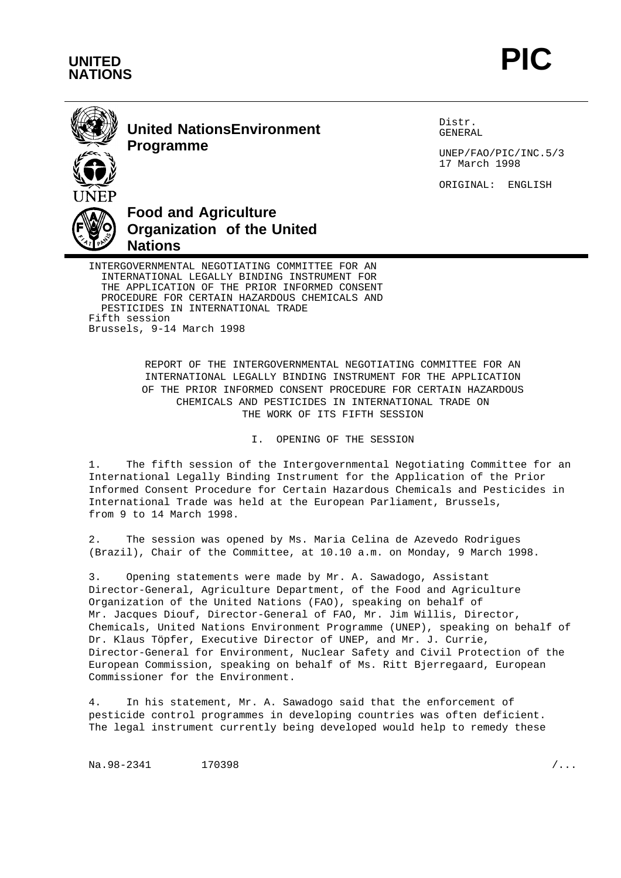



# **United NationsEnvironment Programme**

Distr. GENERAL

UNEP/FAO/PIC/INC.5/3 17 March 1998

ORIGINAL: ENGLISH



INTERNATIONAL LEGALLY BINDING INSTRUMENT FOR THE APPLICATION OF THE PRIOR INFORMED CONSENT PROCEDURE FOR CERTAIN HAZARDOUS CHEMICALS AND PESTICIDES IN INTERNATIONAL TRADE Fifth session Brussels, 9-14 March 1998

> REPORT OF THE INTERGOVERNMENTAL NEGOTIATING COMMITTEE FOR AN INTERNATIONAL LEGALLY BINDING INSTRUMENT FOR THE APPLICATION OF THE PRIOR INFORMED CONSENT PROCEDURE FOR CERTAIN HAZARDOUS CHEMICALS AND PESTICIDES IN INTERNATIONAL TRADE ON THE WORK OF ITS FIFTH SESSION

## I. OPENING OF THE SESSION

1. The fifth session of the Intergovernmental Negotiating Committee for an International Legally Binding Instrument for the Application of the Prior Informed Consent Procedure for Certain Hazardous Chemicals and Pesticides in International Trade was held at the European Parliament, Brussels, from 9 to 14 March 1998.

2. The session was opened by Ms. Maria Celina de Azevedo Rodrigues (Brazil), Chair of the Committee, at 10.10 a.m. on Monday, 9 March 1998.

3. Opening statements were made by Mr. A. Sawadogo, Assistant Director-General, Agriculture Department, of the Food and Agriculture Organization of the United Nations (FAO), speaking on behalf of Mr. Jacques Diouf, Director-General of FAO, Mr. Jim Willis, Director, Chemicals, United Nations Environment Programme (UNEP), speaking on behalf of Dr. Klaus Töpfer, Executive Director of UNEP, and Mr. J. Currie, Director-General for Environment, Nuclear Safety and Civil Protection of the European Commission, speaking on behalf of Ms. Ritt Bjerregaard, European Commissioner for the Environment.

4. In his statement, Mr. A. Sawadogo said that the enforcement of pesticide control programmes in developing countries was often deficient. The legal instrument currently being developed would help to remedy these

Na.98-2341 170398 /...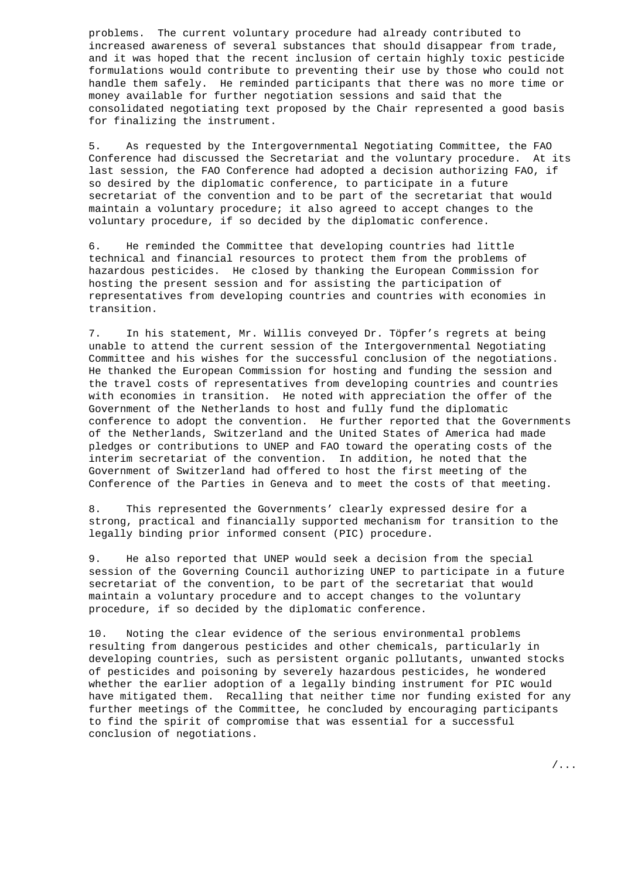problems. The current voluntary procedure had already contributed to increased awareness of several substances that should disappear from trade, and it was hoped that the recent inclusion of certain highly toxic pesticide formulations would contribute to preventing their use by those who could not handle them safely. He reminded participants that there was no more time or money available for further negotiation sessions and said that the consolidated negotiating text proposed by the Chair represented a good basis for finalizing the instrument.

5. As requested by the Intergovernmental Negotiating Committee, the FAO Conference had discussed the Secretariat and the voluntary procedure. At its last session, the FAO Conference had adopted a decision authorizing FAO, if so desired by the diplomatic conference, to participate in a future secretariat of the convention and to be part of the secretariat that would maintain a voluntary procedure; it also agreed to accept changes to the voluntary procedure, if so decided by the diplomatic conference.

6. He reminded the Committee that developing countries had little technical and financial resources to protect them from the problems of hazardous pesticides. He closed by thanking the European Commission for hosting the present session and for assisting the participation of representatives from developing countries and countries with economies in transition.

7. In his statement, Mr. Willis conveyed Dr. Töpfer's regrets at being unable to attend the current session of the Intergovernmental Negotiating Committee and his wishes for the successful conclusion of the negotiations. He thanked the European Commission for hosting and funding the session and the travel costs of representatives from developing countries and countries with economies in transition. He noted with appreciation the offer of the Government of the Netherlands to host and fully fund the diplomatic conference to adopt the convention. He further reported that the Governments of the Netherlands, Switzerland and the United States of America had made pledges or contributions to UNEP and FAO toward the operating costs of the interim secretariat of the convention. In addition, he noted that the Government of Switzerland had offered to host the first meeting of the Conference of the Parties in Geneva and to meet the costs of that meeting.

8. This represented the Governments' clearly expressed desire for a strong, practical and financially supported mechanism for transition to the legally binding prior informed consent (PIC) procedure.

9. He also reported that UNEP would seek a decision from the special session of the Governing Council authorizing UNEP to participate in a future secretariat of the convention, to be part of the secretariat that would maintain a voluntary procedure and to accept changes to the voluntary procedure, if so decided by the diplomatic conference.

10. Noting the clear evidence of the serious environmental problems resulting from dangerous pesticides and other chemicals, particularly in developing countries, such as persistent organic pollutants, unwanted stocks of pesticides and poisoning by severely hazardous pesticides, he wondered whether the earlier adoption of a legally binding instrument for PIC would have mitigated them. Recalling that neither time nor funding existed for any further meetings of the Committee, he concluded by encouraging participants to find the spirit of compromise that was essential for a successful conclusion of negotiations.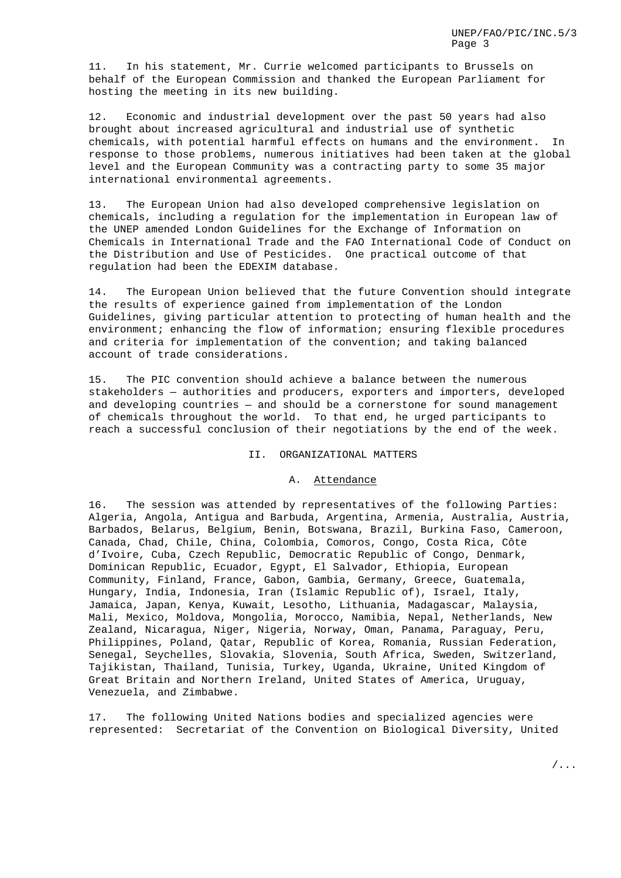11. In his statement, Mr. Currie welcomed participants to Brussels on behalf of the European Commission and thanked the European Parliament for hosting the meeting in its new building.

12. Economic and industrial development over the past 50 years had also brought about increased agricultural and industrial use of synthetic chemicals, with potential harmful effects on humans and the environment. In response to those problems, numerous initiatives had been taken at the global level and the European Community was a contracting party to some 35 major international environmental agreements.

13. The European Union had also developed comprehensive legislation on chemicals, including a regulation for the implementation in European law of the UNEP amended London Guidelines for the Exchange of Information on Chemicals in International Trade and the FAO International Code of Conduct on the Distribution and Use of Pesticides. One practical outcome of that regulation had been the EDEXIM database.

14. The European Union believed that the future Convention should integrate the results of experience gained from implementation of the London Guidelines, giving particular attention to protecting of human health and the environment; enhancing the flow of information; ensuring flexible procedures and criteria for implementation of the convention; and taking balanced account of trade considerations.

15. The PIC convention should achieve a balance between the numerous stakeholders — authorities and producers, exporters and importers, developed and developing countries — and should be a cornerstone for sound management of chemicals throughout the world. To that end, he urged participants to reach a successful conclusion of their negotiations by the end of the week.

#### II. ORGANIZATIONAL MATTERS

## A. Attendance

16. The session was attended by representatives of the following Parties: Algeria, Angola, Antigua and Barbuda, Argentina, Armenia, Australia, Austria, Barbados, Belarus, Belgium, Benin, Botswana, Brazil, Burkina Faso, Cameroon, Canada, Chad, Chile, China, Colombia, Comoros, Congo, Costa Rica, Côte d'Ivoire, Cuba, Czech Republic, Democratic Republic of Congo, Denmark, Dominican Republic, Ecuador, Egypt, El Salvador, Ethiopia, European Community, Finland, France, Gabon, Gambia, Germany, Greece, Guatemala, Hungary, India, Indonesia, Iran (Islamic Republic of), Israel, Italy, Jamaica, Japan, Kenya, Kuwait, Lesotho, Lithuania, Madagascar, Malaysia, Mali, Mexico, Moldova, Mongolia, Morocco, Namibia, Nepal, Netherlands, New Zealand, Nicaragua, Niger, Nigeria, Norway, Oman, Panama, Paraguay, Peru, Philippines, Poland, Qatar, Republic of Korea, Romania, Russian Federation, Senegal, Seychelles, Slovakia, Slovenia, South Africa, Sweden, Switzerland, Tajikistan, Thailand, Tunisia, Turkey, Uganda, Ukraine, United Kingdom of Great Britain and Northern Ireland, United States of America, Uruguay, Venezuela, and Zimbabwe.

17. The following United Nations bodies and specialized agencies were represented: Secretariat of the Convention on Biological Diversity, United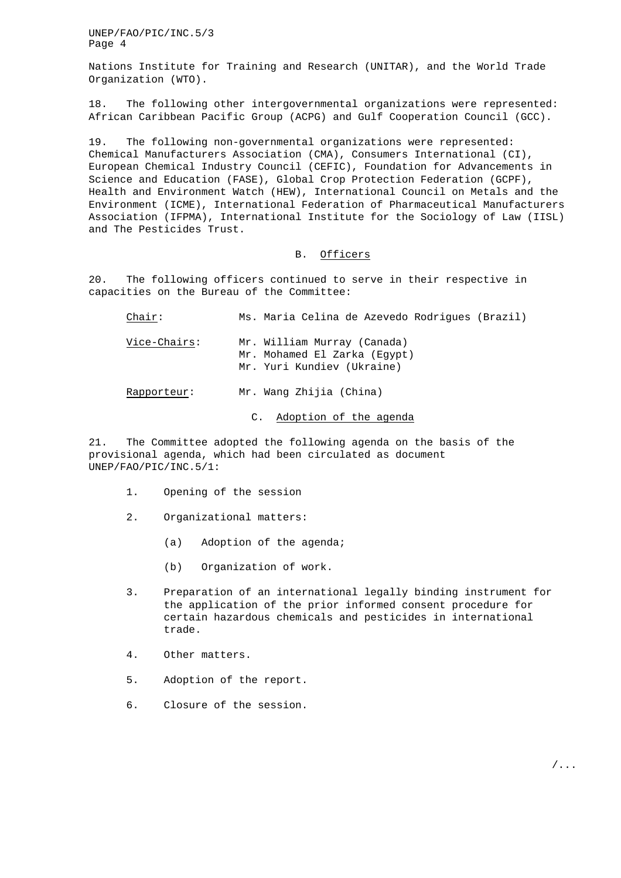UNEP/FAO/PIC/INC.5/3 Page 4

Nations Institute for Training and Research (UNITAR), and the World Trade Organization (WTO).

18. The following other intergovernmental organizations were represented: African Caribbean Pacific Group (ACPG) and Gulf Cooperation Council (GCC).

19. The following non-governmental organizations were represented: Chemical Manufacturers Association (CMA), Consumers International (CI), European Chemical Industry Council (CEFIC), Foundation for Advancements in Science and Education (FASE), Global Crop Protection Federation (GCPF), Health and Environment Watch (HEW), International Council on Metals and the Environment (ICME), International Federation of Pharmaceutical Manufacturers Association (IFPMA), International Institute for the Sociology of Law (IISL) and The Pesticides Trust.

## B. Officers

20. The following officers continued to serve in their respective in capacities on the Bureau of the Committee:

Chair: Ms. Maria Celina de Azevedo Rodrigues (Brazil) Vice-Chairs: Mr. William Murray (Canada) Mr. Mohamed El Zarka (Egypt) Mr. Yuri Kundiev (Ukraine) Rapporteur: Mr. Wang Zhijia (China) C. Adoption of the agenda

21. The Committee adopted the following agenda on the basis of the provisional agenda, which had been circulated as document UNEP/FAO/PIC/INC.5/1:

- 1. Opening of the session
- 2. Organizational matters:
	- (a) Adoption of the agenda;
	- (b) Organization of work.
- 3. Preparation of an international legally binding instrument for the application of the prior informed consent procedure for certain hazardous chemicals and pesticides in international trade.
- 4. Other matters.
- 5. Adoption of the report.
- 6. Closure of the session.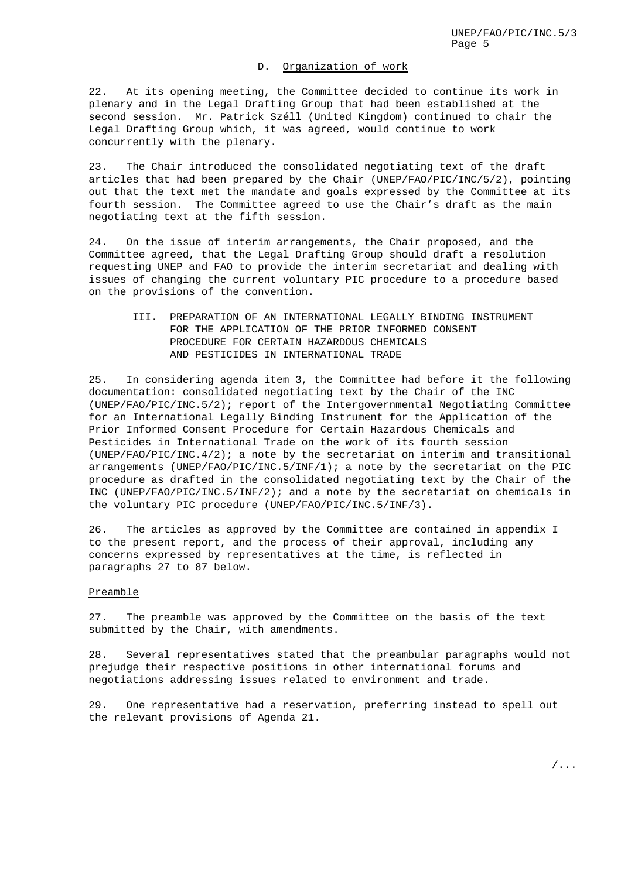## D. Organization of work

22. At its opening meeting, the Committee decided to continue its work in plenary and in the Legal Drafting Group that had been established at the second session. Mr. Patrick Széll (United Kingdom) continued to chair the Legal Drafting Group which, it was agreed, would continue to work concurrently with the plenary.

23. The Chair introduced the consolidated negotiating text of the draft articles that had been prepared by the Chair (UNEP/FAO/PIC/INC/5/2), pointing out that the text met the mandate and goals expressed by the Committee at its fourth session. The Committee agreed to use the Chair's draft as the main negotiating text at the fifth session.

24. On the issue of interim arrangements, the Chair proposed, and the Committee agreed, that the Legal Drafting Group should draft a resolution requesting UNEP and FAO to provide the interim secretariat and dealing with issues of changing the current voluntary PIC procedure to a procedure based on the provisions of the convention.

III. PREPARATION OF AN INTERNATIONAL LEGALLY BINDING INSTRUMENT FOR THE APPLICATION OF THE PRIOR INFORMED CONSENT PROCEDURE FOR CERTAIN HAZARDOUS CHEMICALS AND PESTICIDES IN INTERNATIONAL TRADE

25. In considering agenda item 3, the Committee had before it the following documentation: consolidated negotiating text by the Chair of the INC (UNEP/FAO/PIC/INC.5/2); report of the Intergovernmental Negotiating Committee for an International Legally Binding Instrument for the Application of the Prior Informed Consent Procedure for Certain Hazardous Chemicals and Pesticides in International Trade on the work of its fourth session  $(UNEP/FAO/PIC/INC.4/2);$  a note by the secretariat on interim and transitional arrangements (UNEP/FAO/PIC/INC.5/INF/1); a note by the secretariat on the PIC procedure as drafted in the consolidated negotiating text by the Chair of the INC (UNEP/FAO/PIC/INC.5/INF/2); and a note by the secretariat on chemicals in the voluntary PIC procedure (UNEP/FAO/PIC/INC.5/INF/3).

26. The articles as approved by the Committee are contained in appendix I to the present report, and the process of their approval, including any concerns expressed by representatives at the time, is reflected in paragraphs 27 to 87 below.

### Preamble

27. The preamble was approved by the Committee on the basis of the text submitted by the Chair, with amendments.

28. Several representatives stated that the preambular paragraphs would not prejudge their respective positions in other international forums and negotiations addressing issues related to environment and trade.

29. One representative had a reservation, preferring instead to spell out the relevant provisions of Agenda 21.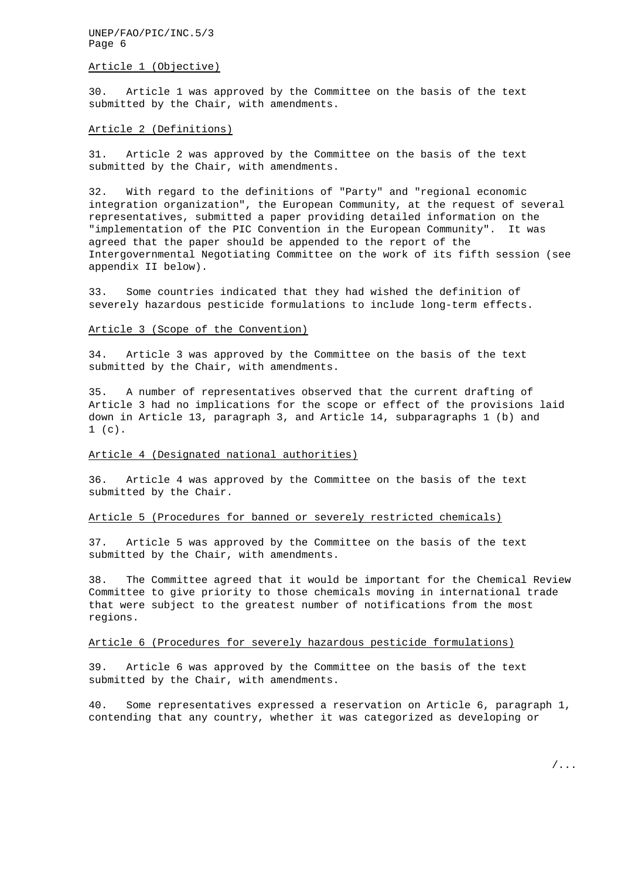UNEP/FAO/PIC/INC.5/3 Page 6

## Article 1 (Objective)

30. Article 1 was approved by the Committee on the basis of the text submitted by the Chair, with amendments.

### Article 2 (Definitions)

31. Article 2 was approved by the Committee on the basis of the text submitted by the Chair, with amendments.

32. With regard to the definitions of "Party" and "regional economic integration organization", the European Community, at the request of several representatives, submitted a paper providing detailed information on the "implementation of the PIC Convention in the European Community". It was agreed that the paper should be appended to the report of the Intergovernmental Negotiating Committee on the work of its fifth session (see appendix II below).

33. Some countries indicated that they had wished the definition of severely hazardous pesticide formulations to include long-term effects.

#### Article 3 (Scope of the Convention)

34. Article 3 was approved by the Committee on the basis of the text submitted by the Chair, with amendments.

35. A number of representatives observed that the current drafting of Article 3 had no implications for the scope or effect of the provisions laid down in Article 13, paragraph 3, and Article 14, subparagraphs 1 (b) and 1 (c).

### Article 4 (Designated national authorities)

36. Article 4 was approved by the Committee on the basis of the text submitted by the Chair.

#### Article 5 (Procedures for banned or severely restricted chemicals)

37. Article 5 was approved by the Committee on the basis of the text submitted by the Chair, with amendments.

38. The Committee agreed that it would be important for the Chemical Review Committee to give priority to those chemicals moving in international trade that were subject to the greatest number of notifications from the most regions.

### Article 6 (Procedures for severely hazardous pesticide formulations)

39. Article 6 was approved by the Committee on the basis of the text submitted by the Chair, with amendments.

40. Some representatives expressed a reservation on Article 6, paragraph 1, contending that any country, whether it was categorized as developing or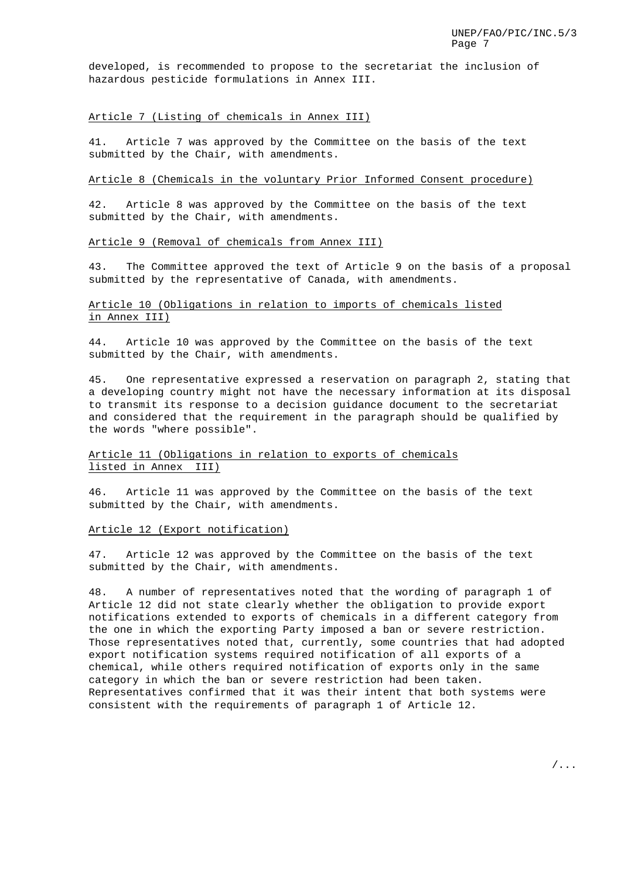developed, is recommended to propose to the secretariat the inclusion of hazardous pesticide formulations in Annex III.

#### Article 7 (Listing of chemicals in Annex III)

41. Article 7 was approved by the Committee on the basis of the text submitted by the Chair, with amendments.

#### Article 8 (Chemicals in the voluntary Prior Informed Consent procedure)

42. Article 8 was approved by the Committee on the basis of the text submitted by the Chair, with amendments.

#### Article 9 (Removal of chemicals from Annex III)

43. The Committee approved the text of Article 9 on the basis of a proposal submitted by the representative of Canada, with amendments.

## Article 10 (Obligations in relation to imports of chemicals listed in Annex III)

44. Article 10 was approved by the Committee on the basis of the text submitted by the Chair, with amendments.

45. One representative expressed a reservation on paragraph 2, stating that a developing country might not have the necessary information at its disposal to transmit its response to a decision guidance document to the secretariat and considered that the requirement in the paragraph should be qualified by the words "where possible".

## Article 11 (Obligations in relation to exports of chemicals listed in Annex III)

46. Article 11 was approved by the Committee on the basis of the text submitted by the Chair, with amendments.

### Article 12 (Export notification)

47. Article 12 was approved by the Committee on the basis of the text submitted by the Chair, with amendments.

48. A number of representatives noted that the wording of paragraph 1 of Article 12 did not state clearly whether the obligation to provide export notifications extended to exports of chemicals in a different category from the one in which the exporting Party imposed a ban or severe restriction. Those representatives noted that, currently, some countries that had adopted export notification systems required notification of all exports of a chemical, while others required notification of exports only in the same category in which the ban or severe restriction had been taken. Representatives confirmed that it was their intent that both systems were consistent with the requirements of paragraph 1 of Article 12.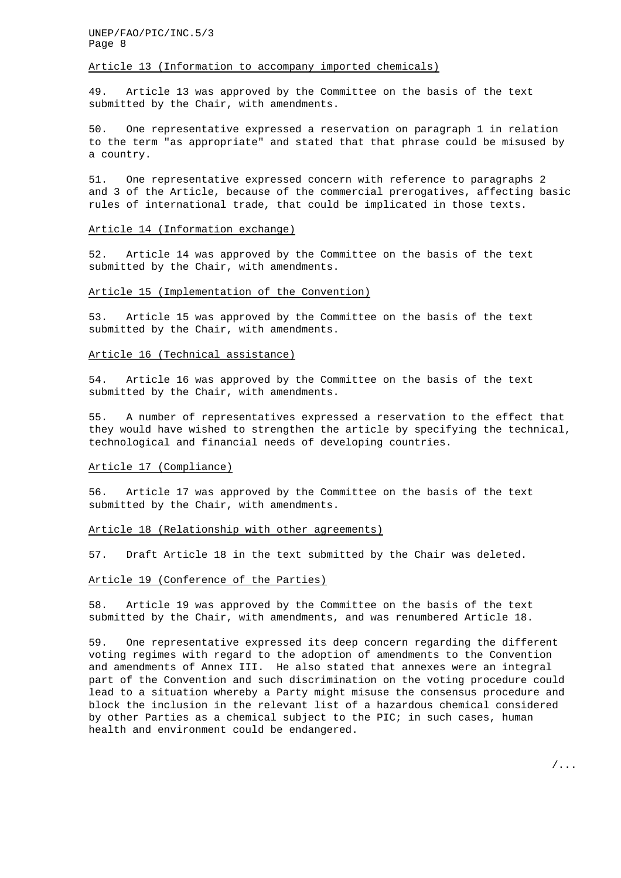UNEP/FAO/PIC/INC.5/3 Page 8

#### Article 13 (Information to accompany imported chemicals)

49. Article 13 was approved by the Committee on the basis of the text submitted by the Chair, with amendments.

50. One representative expressed a reservation on paragraph 1 in relation to the term "as appropriate" and stated that that phrase could be misused by a country.

51. One representative expressed concern with reference to paragraphs 2 and 3 of the Article, because of the commercial prerogatives, affecting basic rules of international trade, that could be implicated in those texts.

#### Article 14 (Information exchange)

52. Article 14 was approved by the Committee on the basis of the text submitted by the Chair, with amendments.

#### Article 15 (Implementation of the Convention)

53. Article 15 was approved by the Committee on the basis of the text submitted by the Chair, with amendments.

#### Article 16 (Technical assistance)

54. Article 16 was approved by the Committee on the basis of the text submitted by the Chair, with amendments.

55. A number of representatives expressed a reservation to the effect that they would have wished to strengthen the article by specifying the technical, technological and financial needs of developing countries.

#### Article 17 (Compliance)

56. Article 17 was approved by the Committee on the basis of the text submitted by the Chair, with amendments.

## Article 18 (Relationship with other agreements)

57. Draft Article 18 in the text submitted by the Chair was deleted.

### Article 19 (Conference of the Parties)

58. Article 19 was approved by the Committee on the basis of the text submitted by the Chair, with amendments, and was renumbered Article 18.

59. One representative expressed its deep concern regarding the different voting regimes with regard to the adoption of amendments to the Convention and amendments of Annex III. He also stated that annexes were an integral part of the Convention and such discrimination on the voting procedure could lead to a situation whereby a Party might misuse the consensus procedure and block the inclusion in the relevant list of a hazardous chemical considered by other Parties as a chemical subject to the PIC; in such cases, human health and environment could be endangered.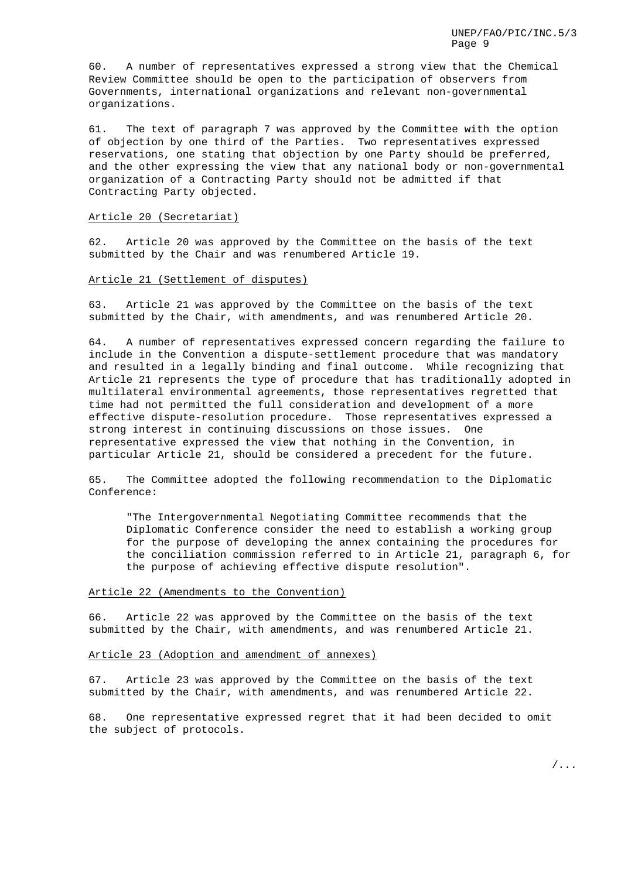60. A number of representatives expressed a strong view that the Chemical Review Committee should be open to the participation of observers from Governments, international organizations and relevant non-governmental organizations.

61. The text of paragraph 7 was approved by the Committee with the option of objection by one third of the Parties. Two representatives expressed reservations, one stating that objection by one Party should be preferred, and the other expressing the view that any national body or non-governmental organization of a Contracting Party should not be admitted if that Contracting Party objected.

## Article 20 (Secretariat)

62. Article 20 was approved by the Committee on the basis of the text submitted by the Chair and was renumbered Article 19.

#### Article 21 (Settlement of disputes)

63. Article 21 was approved by the Committee on the basis of the text submitted by the Chair, with amendments, and was renumbered Article 20.

64. A number of representatives expressed concern regarding the failure to include in the Convention a dispute-settlement procedure that was mandatory and resulted in a legally binding and final outcome. While recognizing that Article 21 represents the type of procedure that has traditionally adopted in multilateral environmental agreements, those representatives regretted that time had not permitted the full consideration and development of a more effective dispute-resolution procedure. Those representatives expressed a strong interest in continuing discussions on those issues. One representative expressed the view that nothing in the Convention, in particular Article 21, should be considered a precedent for the future.

65. The Committee adopted the following recommendation to the Diplomatic Conference:

"The Intergovernmental Negotiating Committee recommends that the Diplomatic Conference consider the need to establish a working group for the purpose of developing the annex containing the procedures for the conciliation commission referred to in Article 21, paragraph 6, for the purpose of achieving effective dispute resolution".

#### Article 22 (Amendments to the Convention)

66. Article 22 was approved by the Committee on the basis of the text submitted by the Chair, with amendments, and was renumbered Article 21.

### Article 23 (Adoption and amendment of annexes)

67. Article 23 was approved by the Committee on the basis of the text submitted by the Chair, with amendments, and was renumbered Article 22.

68. One representative expressed regret that it had been decided to omit the subject of protocols.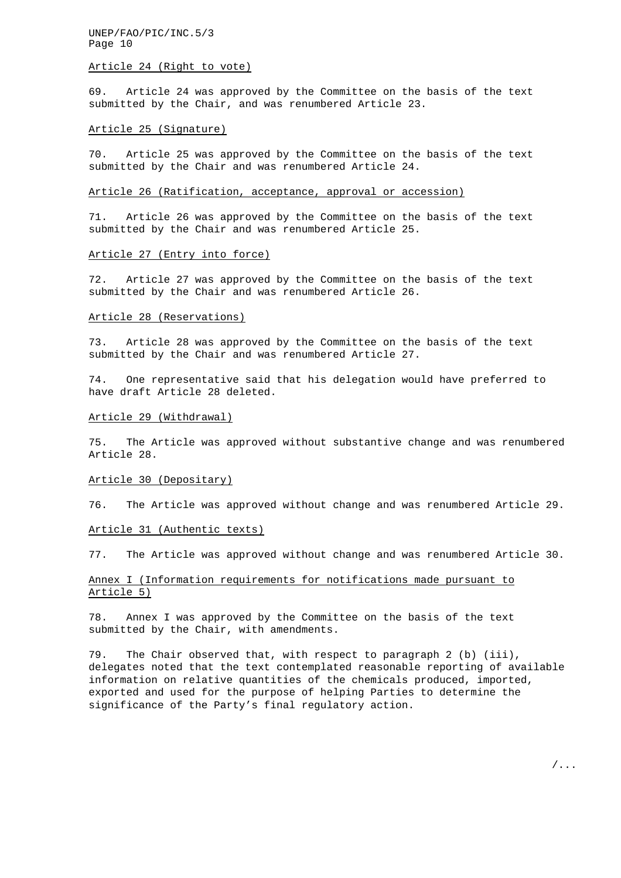UNEP/FAO/PIC/INC.5/3 Page 10

## Article 24 (Right to vote)

69. Article 24 was approved by the Committee on the basis of the text submitted by the Chair, and was renumbered Article 23.

### Article 25 (Signature)

70. Article 25 was approved by the Committee on the basis of the text submitted by the Chair and was renumbered Article 24.

#### Article 26 (Ratification, acceptance, approval or accession)

71. Article 26 was approved by the Committee on the basis of the text submitted by the Chair and was renumbered Article 25.

## Article 27 (Entry into force)

72. Article 27 was approved by the Committee on the basis of the text submitted by the Chair and was renumbered Article 26.

#### Article 28 (Reservations)

73. Article 28 was approved by the Committee on the basis of the text submitted by the Chair and was renumbered Article 27.

74. One representative said that his delegation would have preferred to have draft Article 28 deleted.

#### Article 29 (Withdrawal)

75. The Article was approved without substantive change and was renumbered Article 28.

#### Article 30 (Depositary)

76. The Article was approved without change and was renumbered Article 29.

#### Article 31 (Authentic texts)

77. The Article was approved without change and was renumbered Article 30.

## Annex I (Information requirements for notifications made pursuant to Article 5)

78. Annex I was approved by the Committee on the basis of the text submitted by the Chair, with amendments.

79. The Chair observed that, with respect to paragraph 2 (b) (iii), delegates noted that the text contemplated reasonable reporting of available information on relative quantities of the chemicals produced, imported, exported and used for the purpose of helping Parties to determine the significance of the Party's final regulatory action.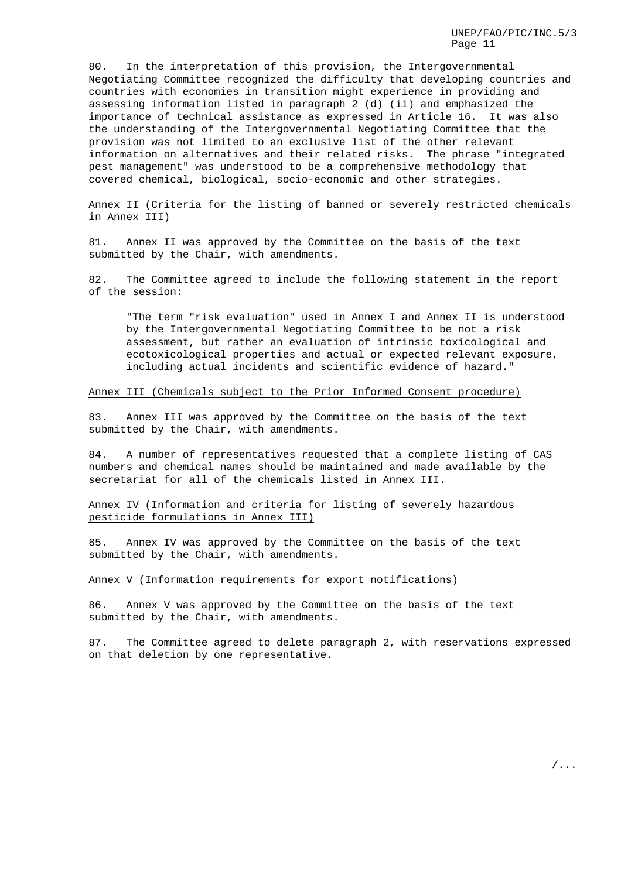80. In the interpretation of this provision, the Intergovernmental Negotiating Committee recognized the difficulty that developing countries and countries with economies in transition might experience in providing and assessing information listed in paragraph 2 (d) (ii) and emphasized the importance of technical assistance as expressed in Article 16. It was also the understanding of the Intergovernmental Negotiating Committee that the provision was not limited to an exclusive list of the other relevant information on alternatives and their related risks. The phrase "integrated pest management" was understood to be a comprehensive methodology that covered chemical, biological, socio-economic and other strategies.

Annex II (Criteria for the listing of banned or severely restricted chemicals in Annex III)

81. Annex II was approved by the Committee on the basis of the text submitted by the Chair, with amendments.

82. The Committee agreed to include the following statement in the report of the session:

"The term "risk evaluation" used in Annex I and Annex II is understood by the Intergovernmental Negotiating Committee to be not a risk assessment, but rather an evaluation of intrinsic toxicological and ecotoxicological properties and actual or expected relevant exposure, including actual incidents and scientific evidence of hazard."

## Annex III (Chemicals subject to the Prior Informed Consent procedure)

83. Annex III was approved by the Committee on the basis of the text submitted by the Chair, with amendments.

84. A number of representatives requested that a complete listing of CAS numbers and chemical names should be maintained and made available by the secretariat for all of the chemicals listed in Annex III.

## Annex IV (Information and criteria for listing of severely hazardous pesticide formulations in Annex III)

85. Annex IV was approved by the Committee on the basis of the text submitted by the Chair, with amendments.

### Annex V (Information requirements for export notifications)

86. Annex V was approved by the Committee on the basis of the text submitted by the Chair, with amendments.

87. The Committee agreed to delete paragraph 2, with reservations expressed on that deletion by one representative.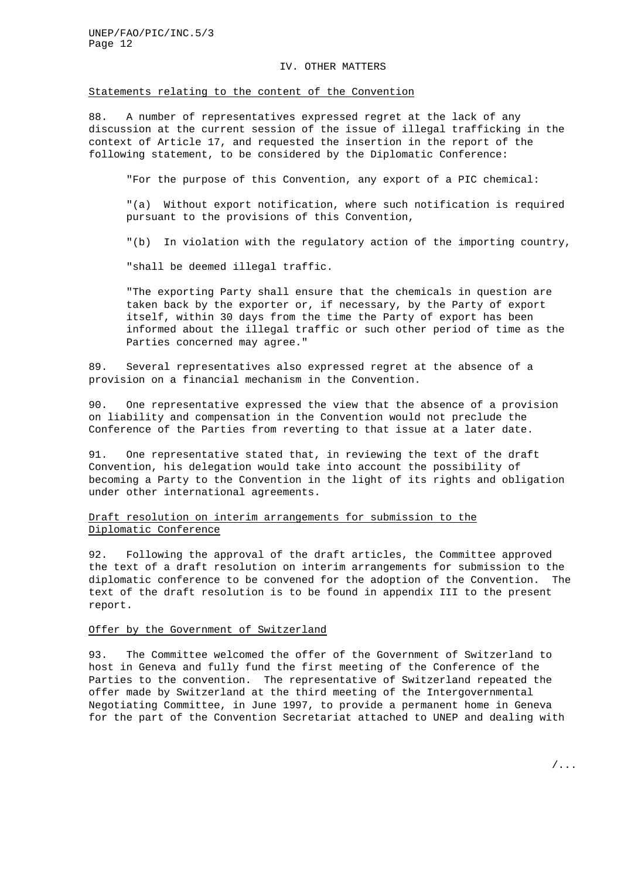## IV. OTHER MATTERS

#### Statements relating to the content of the Convention

88. A number of representatives expressed regret at the lack of any discussion at the current session of the issue of illegal trafficking in the context of Article 17, and requested the insertion in the report of the following statement, to be considered by the Diplomatic Conference:

"For the purpose of this Convention, any export of a PIC chemical:

"(a) Without export notification, where such notification is required pursuant to the provisions of this Convention,

"(b) In violation with the regulatory action of the importing country,

"shall be deemed illegal traffic.

"The exporting Party shall ensure that the chemicals in question are taken back by the exporter or, if necessary, by the Party of export itself, within 30 days from the time the Party of export has been informed about the illegal traffic or such other period of time as the Parties concerned may agree."

89. Several representatives also expressed regret at the absence of a provision on a financial mechanism in the Convention.

90. One representative expressed the view that the absence of a provision on liability and compensation in the Convention would not preclude the Conference of the Parties from reverting to that issue at a later date.

91. One representative stated that, in reviewing the text of the draft Convention, his delegation would take into account the possibility of becoming a Party to the Convention in the light of its rights and obligation under other international agreements.

## Draft resolution on interim arrangements for submission to the Diplomatic Conference

92. Following the approval of the draft articles, the Committee approved the text of a draft resolution on interim arrangements for submission to the diplomatic conference to be convened for the adoption of the Convention. The text of the draft resolution is to be found in appendix III to the present report.

## Offer by the Government of Switzerland

93. The Committee welcomed the offer of the Government of Switzerland to host in Geneva and fully fund the first meeting of the Conference of the Parties to the convention. The representative of Switzerland repeated the offer made by Switzerland at the third meeting of the Intergovernmental Negotiating Committee, in June 1997, to provide a permanent home in Geneva for the part of the Convention Secretariat attached to UNEP and dealing with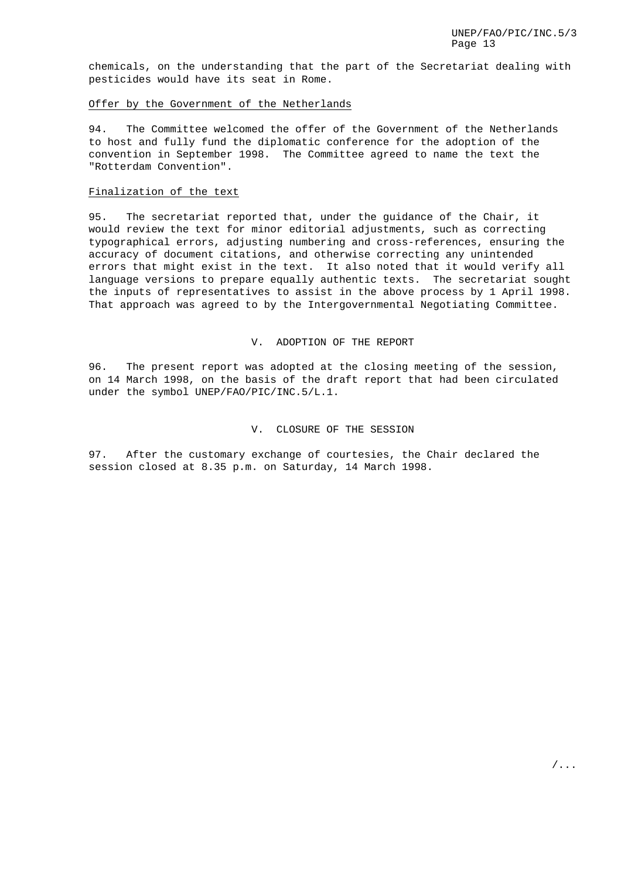chemicals, on the understanding that the part of the Secretariat dealing with pesticides would have its seat in Rome.

#### Offer by the Government of the Netherlands

94. The Committee welcomed the offer of the Government of the Netherlands to host and fully fund the diplomatic conference for the adoption of the convention in September 1998. The Committee agreed to name the text the "Rotterdam Convention".

### Finalization of the text

95. The secretariat reported that, under the guidance of the Chair, it would review the text for minor editorial adjustments, such as correcting typographical errors, adjusting numbering and cross-references, ensuring the accuracy of document citations, and otherwise correcting any unintended errors that might exist in the text. It also noted that it would verify all language versions to prepare equally authentic texts. The secretariat sought the inputs of representatives to assist in the above process by 1 April 1998. That approach was agreed to by the Intergovernmental Negotiating Committee.

#### V. ADOPTION OF THE REPORT

96. The present report was adopted at the closing meeting of the session, on 14 March 1998, on the basis of the draft report that had been circulated under the symbol UNEP/FAO/PIC/INC.5/L.1.

#### V. CLOSURE OF THE SESSION

97. After the customary exchange of courtesies, the Chair declared the session closed at 8.35 p.m. on Saturday, 14 March 1998.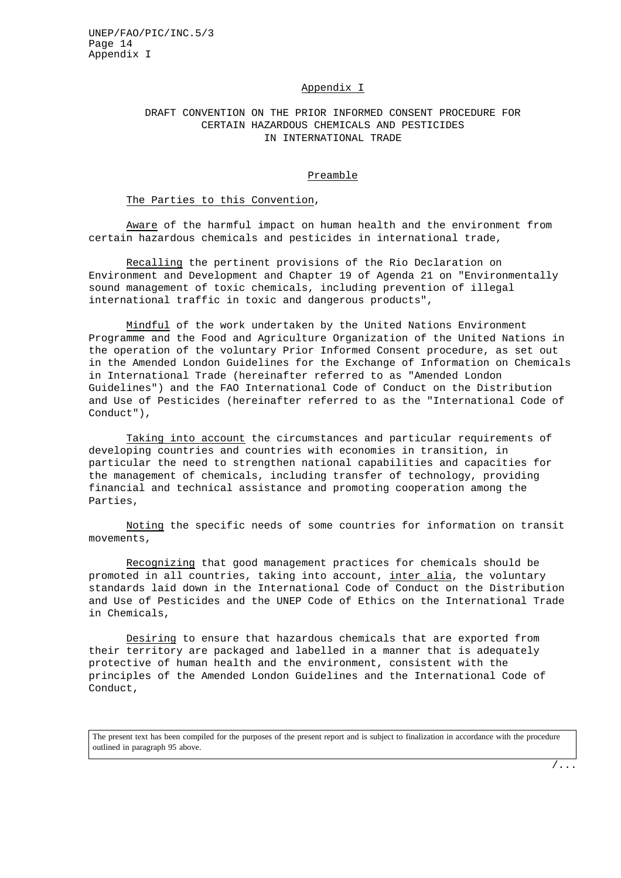## Appendix I

## DRAFT CONVENTION ON THE PRIOR INFORMED CONSENT PROCEDURE FOR CERTAIN HAZARDOUS CHEMICALS AND PESTICIDES IN INTERNATIONAL TRADE

### Preamble

#### The Parties to this Convention,

Aware of the harmful impact on human health and the environment from certain hazardous chemicals and pesticides in international trade,

Recalling the pertinent provisions of the Rio Declaration on Environment and Development and Chapter 19 of Agenda 21 on "Environmentally sound management of toxic chemicals, including prevention of illegal international traffic in toxic and dangerous products",

Mindful of the work undertaken by the United Nations Environment Programme and the Food and Agriculture Organization of the United Nations in the operation of the voluntary Prior Informed Consent procedure, as set out in the Amended London Guidelines for the Exchange of Information on Chemicals in International Trade (hereinafter referred to as "Amended London Guidelines") and the FAO International Code of Conduct on the Distribution and Use of Pesticides (hereinafter referred to as the "International Code of Conduct"),

Taking into account the circumstances and particular requirements of developing countries and countries with economies in transition, in particular the need to strengthen national capabilities and capacities for the management of chemicals, including transfer of technology, providing financial and technical assistance and promoting cooperation among the Parties,

Noting the specific needs of some countries for information on transit movements,

Recognizing that good management practices for chemicals should be promoted in all countries, taking into account, inter alia, the voluntary standards laid down in the International Code of Conduct on the Distribution and Use of Pesticides and the UNEP Code of Ethics on the International Trade in Chemicals,

Desiring to ensure that hazardous chemicals that are exported from their territory are packaged and labelled in a manner that is adequately protective of human health and the environment, consistent with the principles of the Amended London Guidelines and the International Code of Conduct,

The present text has been compiled for the purposes of the present report and is subject to finalization in accordance with the procedure outlined in paragraph 95 above.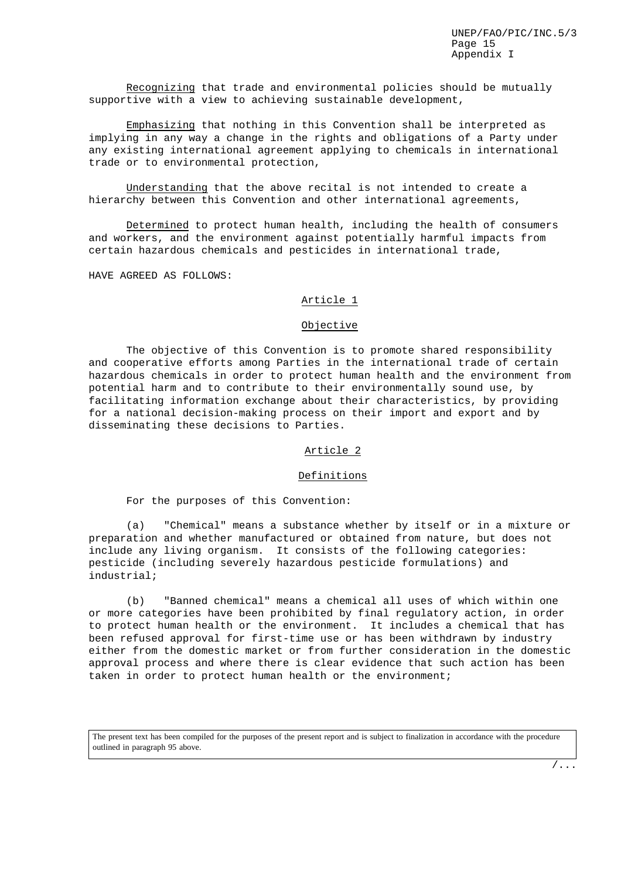UNEP/FAO/PIC/INC.5/3 Page 15 Appendix I

Recognizing that trade and environmental policies should be mutually supportive with a view to achieving sustainable development,

Emphasizing that nothing in this Convention shall be interpreted as implying in any way a change in the rights and obligations of a Party under any existing international agreement applying to chemicals in international trade or to environmental protection,

Understanding that the above recital is not intended to create a hierarchy between this Convention and other international agreements,

Determined to protect human health, including the health of consumers and workers, and the environment against potentially harmful impacts from certain hazardous chemicals and pesticides in international trade,

HAVE AGREED AS FOLLOWS:

## Article 1

#### Objective

The objective of this Convention is to promote shared responsibility and cooperative efforts among Parties in the international trade of certain hazardous chemicals in order to protect human health and the environment from potential harm and to contribute to their environmentally sound use, by facilitating information exchange about their characteristics, by providing for a national decision-making process on their import and export and by disseminating these decisions to Parties.

### Article 2

#### Definitions

For the purposes of this Convention:

(a) "Chemical" means a substance whether by itself or in a mixture or preparation and whether manufactured or obtained from nature, but does not include any living organism. It consists of the following categories: pesticide (including severely hazardous pesticide formulations) and industrial;

(b) "Banned chemical" means a chemical all uses of which within one or more categories have been prohibited by final regulatory action, in order to protect human health or the environment. It includes a chemical that has been refused approval for first-time use or has been withdrawn by industry either from the domestic market or from further consideration in the domestic approval process and where there is clear evidence that such action has been taken in order to protect human health or the environment;

The present text has been compiled for the purposes of the present report and is subject to finalization in accordance with the procedure outlined in paragraph 95 above.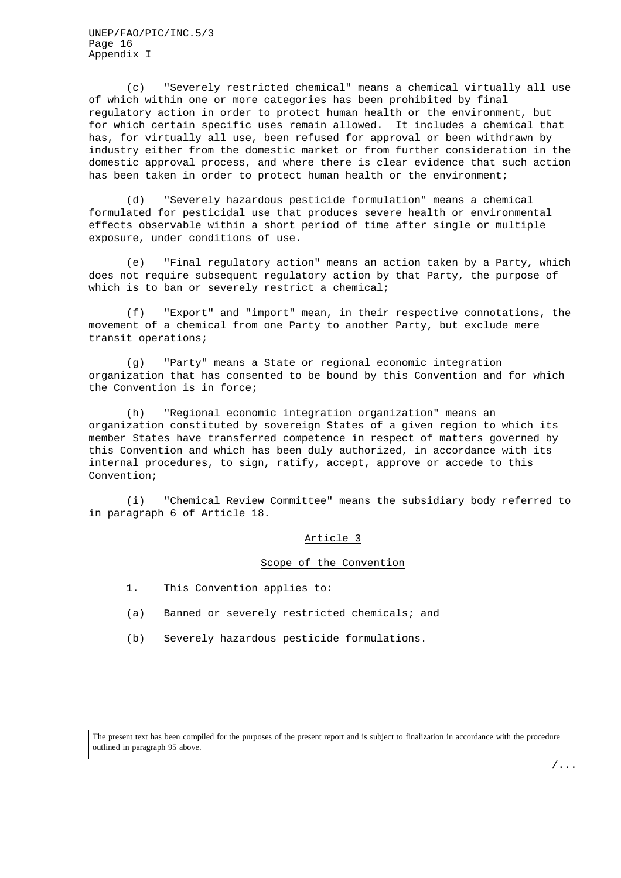UNEP/FAO/PIC/INC.5/3 Page 16 Appendix I

(c) "Severely restricted chemical" means a chemical virtually all use of which within one or more categories has been prohibited by final regulatory action in order to protect human health or the environment, but for which certain specific uses remain allowed. It includes a chemical that has, for virtually all use, been refused for approval or been withdrawn by industry either from the domestic market or from further consideration in the domestic approval process, and where there is clear evidence that such action has been taken in order to protect human health or the environment;

(d) "Severely hazardous pesticide formulation" means a chemical formulated for pesticidal use that produces severe health or environmental effects observable within a short period of time after single or multiple exposure, under conditions of use.

(e) "Final regulatory action" means an action taken by a Party, which does not require subsequent regulatory action by that Party, the purpose of which is to ban or severely restrict a chemical;

(f) "Export" and "import" mean, in their respective connotations, the movement of a chemical from one Party to another Party, but exclude mere transit operations;

(g) "Party" means a State or regional economic integration organization that has consented to be bound by this Convention and for which the Convention is in force;

(h) "Regional economic integration organization" means an organization constituted by sovereign States of a given region to which its member States have transferred competence in respect of matters governed by this Convention and which has been duly authorized, in accordance with its internal procedures, to sign, ratify, accept, approve or accede to this Convention;

(i) "Chemical Review Committee" means the subsidiary body referred to in paragraph 6 of Article 18.

## Article 3

#### Scope of the Convention

- 1. This Convention applies to:
- (a) Banned or severely restricted chemicals; and
- (b) Severely hazardous pesticide formulations.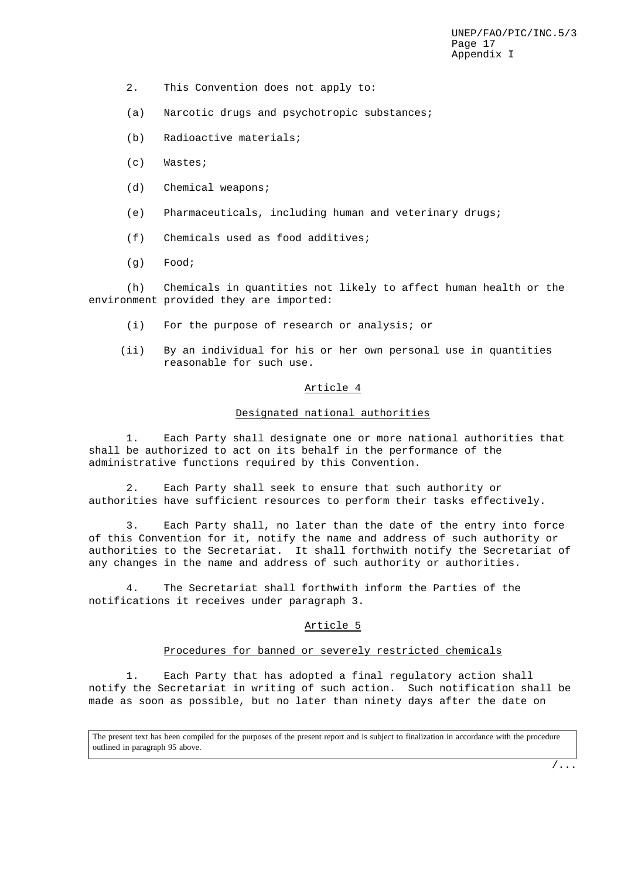- 2. This Convention does not apply to:
- (a) Narcotic drugs and psychotropic substances;
- (b) Radioactive materials;
- (c) Wastes;
- (d) Chemical weapons;
- (e) Pharmaceuticals, including human and veterinary drugs;
- (f) Chemicals used as food additives;
- (g) Food;

(h) Chemicals in quantities not likely to affect human health or the environment provided they are imported:

- (i) For the purpose of research or analysis; or
- (ii) By an individual for his or her own personal use in quantities reasonable for such use.

#### Article 4

### Designated national authorities

1. Each Party shall designate one or more national authorities that shall be authorized to act on its behalf in the performance of the administrative functions required by this Convention.

Each Party shall seek to ensure that such authority or authorities have sufficient resources to perform their tasks effectively.

3. Each Party shall, no later than the date of the entry into force of this Convention for it, notify the name and address of such authority or authorities to the Secretariat. It shall forthwith notify the Secretariat of any changes in the name and address of such authority or authorities.

4. The Secretariat shall forthwith inform the Parties of the notifications it receives under paragraph 3.

#### Article 5

#### Procedures for banned or severely restricted chemicals

Each Party that has adopted a final regulatory action shall notify the Secretariat in writing of such action. Such notification shall be made as soon as possible, but no later than ninety days after the date on

The present text has been compiled for the purposes of the present report and is subject to finalization in accordance with the procedure outlined in paragraph 95 above.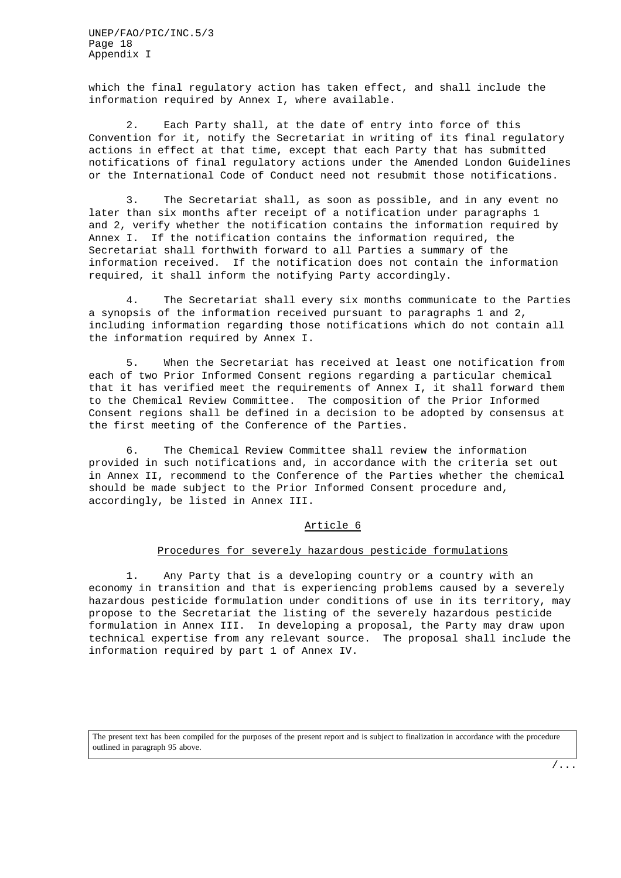UNEP/FAO/PIC/INC.5/3 Page 18 Appendix I

which the final regulatory action has taken effect, and shall include the information required by Annex I, where available.

2. Each Party shall, at the date of entry into force of this Convention for it, notify the Secretariat in writing of its final regulatory actions in effect at that time, except that each Party that has submitted notifications of final regulatory actions under the Amended London Guidelines or the International Code of Conduct need not resubmit those notifications.

3. The Secretariat shall, as soon as possible, and in any event no later than six months after receipt of a notification under paragraphs 1 and 2, verify whether the notification contains the information required by Annex I. If the notification contains the information required, the Secretariat shall forthwith forward to all Parties a summary of the information received. If the notification does not contain the information required, it shall inform the notifying Party accordingly.

4. The Secretariat shall every six months communicate to the Parties a synopsis of the information received pursuant to paragraphs 1 and 2, including information regarding those notifications which do not contain all the information required by Annex I.

5. When the Secretariat has received at least one notification from each of two Prior Informed Consent regions regarding a particular chemical that it has verified meet the requirements of Annex I, it shall forward them to the Chemical Review Committee. The composition of the Prior Informed Consent regions shall be defined in a decision to be adopted by consensus at the first meeting of the Conference of the Parties.

6. The Chemical Review Committee shall review the information provided in such notifications and, in accordance with the criteria set out in Annex II, recommend to the Conference of the Parties whether the chemical should be made subject to the Prior Informed Consent procedure and, accordingly, be listed in Annex III.

#### Article 6

#### Procedures for severely hazardous pesticide formulations

1. Any Party that is a developing country or a country with an economy in transition and that is experiencing problems caused by a severely hazardous pesticide formulation under conditions of use in its territory, may propose to the Secretariat the listing of the severely hazardous pesticide formulation in Annex III. In developing a proposal, the Party may draw upon technical expertise from any relevant source. The proposal shall include the information required by part 1 of Annex IV.

The present text has been compiled for the purposes of the present report and is subject to finalization in accordance with the procedure outlined in paragraph 95 above.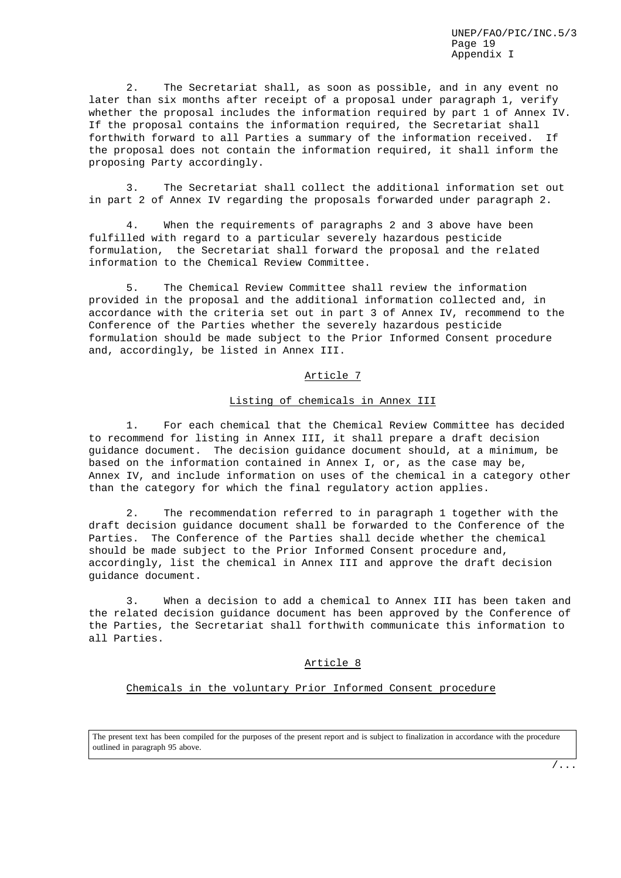UNEP/FAO/PIC/INC.5/3 Page 19 Appendix I

2. The Secretariat shall, as soon as possible, and in any event no later than six months after receipt of a proposal under paragraph 1, verify whether the proposal includes the information required by part 1 of Annex IV. If the proposal contains the information required, the Secretariat shall forthwith forward to all Parties a summary of the information received. If the proposal does not contain the information required, it shall inform the proposing Party accordingly.

3. The Secretariat shall collect the additional information set out in part 2 of Annex IV regarding the proposals forwarded under paragraph 2.

4. When the requirements of paragraphs 2 and 3 above have been fulfilled with regard to a particular severely hazardous pesticide formulation, the Secretariat shall forward the proposal and the related information to the Chemical Review Committee.

5. The Chemical Review Committee shall review the information provided in the proposal and the additional information collected and, in accordance with the criteria set out in part 3 of Annex IV, recommend to the Conference of the Parties whether the severely hazardous pesticide formulation should be made subject to the Prior Informed Consent procedure and, accordingly, be listed in Annex III.

#### Article 7

## Listing of chemicals in Annex III

1. For each chemical that the Chemical Review Committee has decided to recommend for listing in Annex III, it shall prepare a draft decision guidance document. The decision guidance document should, at a minimum, be based on the information contained in Annex I, or, as the case may be, Annex IV, and include information on uses of the chemical in a category other than the category for which the final regulatory action applies.

2. The recommendation referred to in paragraph 1 together with the draft decision guidance document shall be forwarded to the Conference of the Parties. The Conference of the Parties shall decide whether the chemical should be made subject to the Prior Informed Consent procedure and, accordingly, list the chemical in Annex III and approve the draft decision guidance document.

3. When a decision to add a chemical to Annex III has been taken and the related decision guidance document has been approved by the Conference of the Parties, the Secretariat shall forthwith communicate this information to all Parties.

#### Article 8

## Chemicals in the voluntary Prior Informed Consent procedure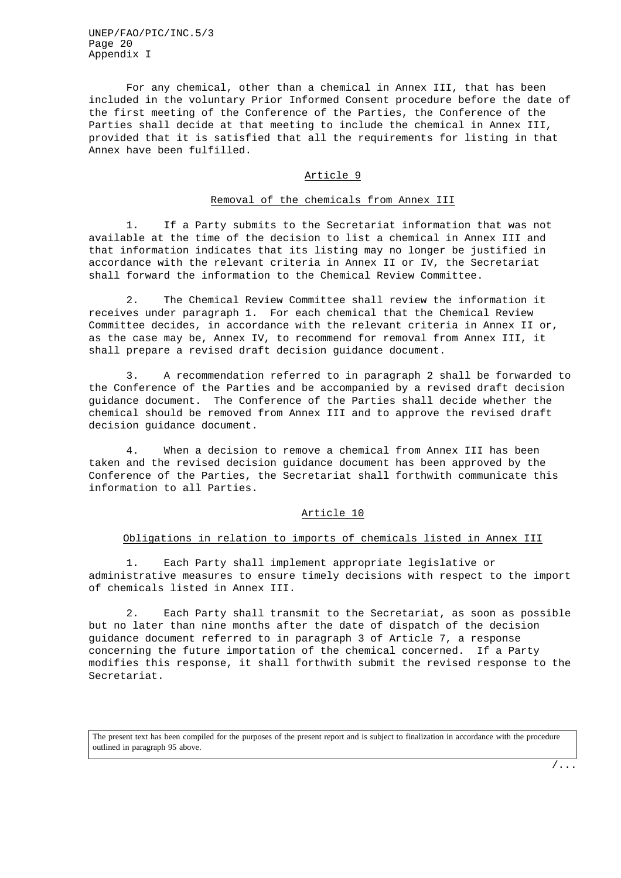UNEP/FAO/PIC/INC.5/3 Page 20 Appendix I

For any chemical, other than a chemical in Annex III, that has been included in the voluntary Prior Informed Consent procedure before the date of the first meeting of the Conference of the Parties, the Conference of the Parties shall decide at that meeting to include the chemical in Annex III, provided that it is satisfied that all the requirements for listing in that Annex have been fulfilled.

## Article 9

#### Removal of the chemicals from Annex III

1. If a Party submits to the Secretariat information that was not available at the time of the decision to list a chemical in Annex III and that information indicates that its listing may no longer be justified in accordance with the relevant criteria in Annex II or IV, the Secretariat shall forward the information to the Chemical Review Committee.

2. The Chemical Review Committee shall review the information it receives under paragraph 1. For each chemical that the Chemical Review Committee decides, in accordance with the relevant criteria in Annex II or, as the case may be, Annex IV, to recommend for removal from Annex III, it shall prepare a revised draft decision guidance document.

3. A recommendation referred to in paragraph 2 shall be forwarded to the Conference of the Parties and be accompanied by a revised draft decision guidance document. The Conference of the Parties shall decide whether the chemical should be removed from Annex III and to approve the revised draft decision guidance document.

4. When a decision to remove a chemical from Annex III has been taken and the revised decision guidance document has been approved by the Conference of the Parties, the Secretariat shall forthwith communicate this information to all Parties.

#### Article 10

#### Obligations in relation to imports of chemicals listed in Annex III

1. Each Party shall implement appropriate legislative or administrative measures to ensure timely decisions with respect to the import of chemicals listed in Annex III.

2. Each Party shall transmit to the Secretariat, as soon as possible but no later than nine months after the date of dispatch of the decision guidance document referred to in paragraph 3 of Article 7, a response concerning the future importation of the chemical concerned. If a Party modifies this response, it shall forthwith submit the revised response to the Secretariat.

The present text has been compiled for the purposes of the present report and is subject to finalization in accordance with the procedure outlined in paragraph 95 above.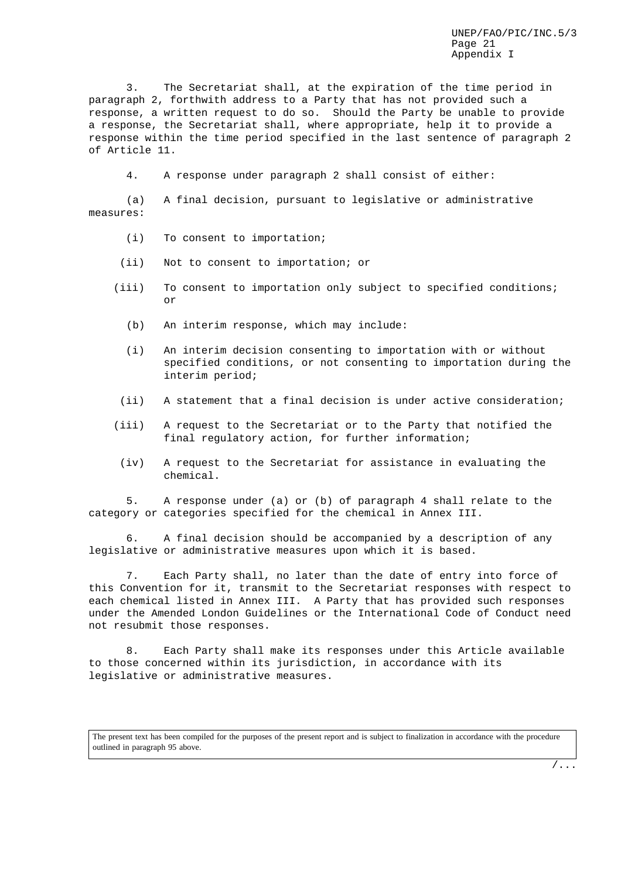UNEP/FAO/PIC/INC.5/3 Page 21 Appendix I

3. The Secretariat shall, at the expiration of the time period in paragraph 2, forthwith address to a Party that has not provided such a response, a written request to do so. Should the Party be unable to provide a response, the Secretariat shall, where appropriate, help it to provide a response within the time period specified in the last sentence of paragraph 2 of Article 11.

4. A response under paragraph 2 shall consist of either:

(a) A final decision, pursuant to legislative or administrative measures:

- (i) To consent to importation;
- (ii) Not to consent to importation; or
- (iii) To consent to importation only subject to specified conditions; or
	- (b) An interim response, which may include:
	- (i) An interim decision consenting to importation with or without specified conditions, or not consenting to importation during the interim period;
	- (ii) A statement that a final decision is under active consideration;
- (iii) A request to the Secretariat or to the Party that notified the final regulatory action, for further information;
- (iv) A request to the Secretariat for assistance in evaluating the chemical.

5. A response under (a) or (b) of paragraph 4 shall relate to the category or categories specified for the chemical in Annex III.

6. A final decision should be accompanied by a description of any legislative or administrative measures upon which it is based.

7. Each Party shall, no later than the date of entry into force of this Convention for it, transmit to the Secretariat responses with respect to each chemical listed in Annex III. A Party that has provided such responses under the Amended London Guidelines or the International Code of Conduct need not resubmit those responses.

8. Each Party shall make its responses under this Article available to those concerned within its jurisdiction, in accordance with its legislative or administrative measures.

The present text has been compiled for the purposes of the present report and is subject to finalization in accordance with the procedure outlined in paragraph 95 above.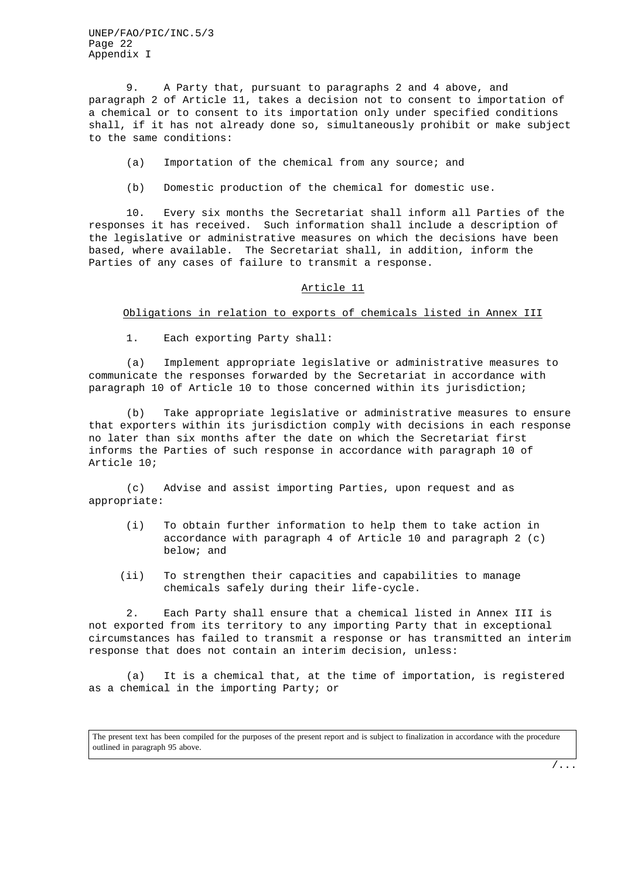UNEP/FAO/PIC/INC.5/3 Page 22 Appendix I

9. A Party that, pursuant to paragraphs 2 and 4 above, and paragraph 2 of Article 11, takes a decision not to consent to importation of a chemical or to consent to its importation only under specified conditions shall, if it has not already done so, simultaneously prohibit or make subject to the same conditions:

- (a) Importation of the chemical from any source; and
- (b) Domestic production of the chemical for domestic use.

10. Every six months the Secretariat shall inform all Parties of the responses it has received. Such information shall include a description of the legislative or administrative measures on which the decisions have been based, where available. The Secretariat shall, in addition, inform the Parties of any cases of failure to transmit a response.

#### Article 11

### Obligations in relation to exports of chemicals listed in Annex III

1. Each exporting Party shall:

(a) Implement appropriate legislative or administrative measures to communicate the responses forwarded by the Secretariat in accordance with paragraph 10 of Article 10 to those concerned within its jurisdiction;

(b) Take appropriate legislative or administrative measures to ensure that exporters within its jurisdiction comply with decisions in each response no later than six months after the date on which the Secretariat first informs the Parties of such response in accordance with paragraph 10 of Article 10;

(c) Advise and assist importing Parties, upon request and as appropriate:

- (i) To obtain further information to help them to take action in accordance with paragraph 4 of Article 10 and paragraph 2 (c) below; and
- (ii) To strengthen their capacities and capabilities to manage chemicals safely during their life-cycle.

2. Each Party shall ensure that a chemical listed in Annex III is not exported from its territory to any importing Party that in exceptional circumstances has failed to transmit a response or has transmitted an interim response that does not contain an interim decision, unless:

(a) It is a chemical that, at the time of importation, is registered as a chemical in the importing Party; or

The present text has been compiled for the purposes of the present report and is subject to finalization in accordance with the procedure outlined in paragraph 95 above.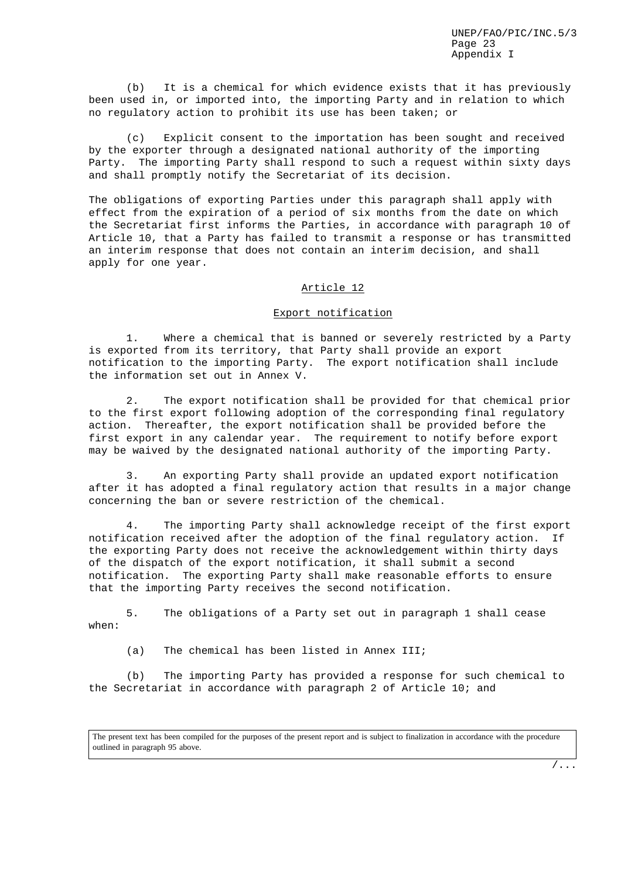UNEP/FAO/PIC/INC.5/3 Page 23 Appendix I

(b) It is a chemical for which evidence exists that it has previously been used in, or imported into, the importing Party and in relation to which no regulatory action to prohibit its use has been taken; or

(c) Explicit consent to the importation has been sought and received by the exporter through a designated national authority of the importing Party. The importing Party shall respond to such a request within sixty days and shall promptly notify the Secretariat of its decision.

The obligations of exporting Parties under this paragraph shall apply with effect from the expiration of a period of six months from the date on which the Secretariat first informs the Parties, in accordance with paragraph 10 of Article 10, that a Party has failed to transmit a response or has transmitted an interim response that does not contain an interim decision, and shall apply for one year.

#### Article 12

## Export notification

1. Where a chemical that is banned or severely restricted by a Party is exported from its territory, that Party shall provide an export notification to the importing Party. The export notification shall include the information set out in Annex V.

2. The export notification shall be provided for that chemical prior to the first export following adoption of the corresponding final regulatory action. Thereafter, the export notification shall be provided before the first export in any calendar year. The requirement to notify before export may be waived by the designated national authority of the importing Party.

3. An exporting Party shall provide an updated export notification after it has adopted a final regulatory action that results in a major change concerning the ban or severe restriction of the chemical.

4. The importing Party shall acknowledge receipt of the first export notification received after the adoption of the final regulatory action. If the exporting Party does not receive the acknowledgement within thirty days of the dispatch of the export notification, it shall submit a second notification. The exporting Party shall make reasonable efforts to ensure that the importing Party receives the second notification.

5. The obligations of a Party set out in paragraph 1 shall cease when:

(a) The chemical has been listed in Annex III;

(b) The importing Party has provided a response for such chemical to the Secretariat in accordance with paragraph 2 of Article 10; and

The present text has been compiled for the purposes of the present report and is subject to finalization in accordance with the procedure outlined in paragraph 95 above.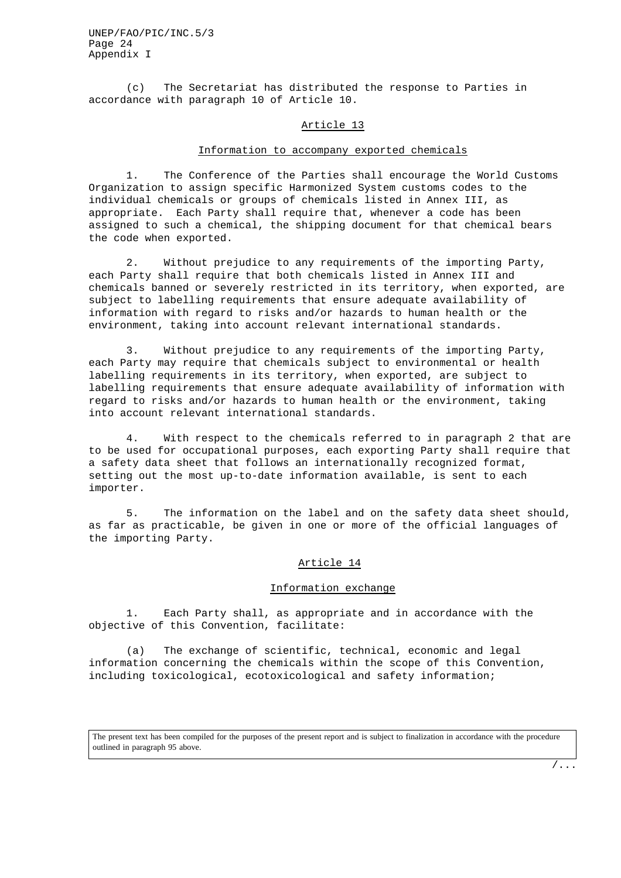UNEP/FAO/PIC/INC.5/3 Page 24 Appendix I

(c) The Secretariat has distributed the response to Parties in accordance with paragraph 10 of Article 10.

#### Article 13

### Information to accompany exported chemicals

1. The Conference of the Parties shall encourage the World Customs Organization to assign specific Harmonized System customs codes to the individual chemicals or groups of chemicals listed in Annex III, as appropriate. Each Party shall require that, whenever a code has been assigned to such a chemical, the shipping document for that chemical bears the code when exported.

2. Without prejudice to any requirements of the importing Party, each Party shall require that both chemicals listed in Annex III and chemicals banned or severely restricted in its territory, when exported, are subject to labelling requirements that ensure adequate availability of information with regard to risks and/or hazards to human health or the environment, taking into account relevant international standards.

3. Without prejudice to any requirements of the importing Party, each Party may require that chemicals subject to environmental or health labelling requirements in its territory, when exported, are subject to labelling requirements that ensure adequate availability of information with regard to risks and/or hazards to human health or the environment, taking into account relevant international standards.

4. With respect to the chemicals referred to in paragraph 2 that are to be used for occupational purposes, each exporting Party shall require that a safety data sheet that follows an internationally recognized format, setting out the most up-to-date information available, is sent to each importer.

5. The information on the label and on the safety data sheet should, as far as practicable, be given in one or more of the official languages of the importing Party.

#### Article 14

## Information exchange

1. Each Party shall, as appropriate and in accordance with the objective of this Convention, facilitate:

(a) The exchange of scientific, technical, economic and legal information concerning the chemicals within the scope of this Convention, including toxicological, ecotoxicological and safety information;

The present text has been compiled for the purposes of the present report and is subject to finalization in accordance with the procedure outlined in paragraph 95 above.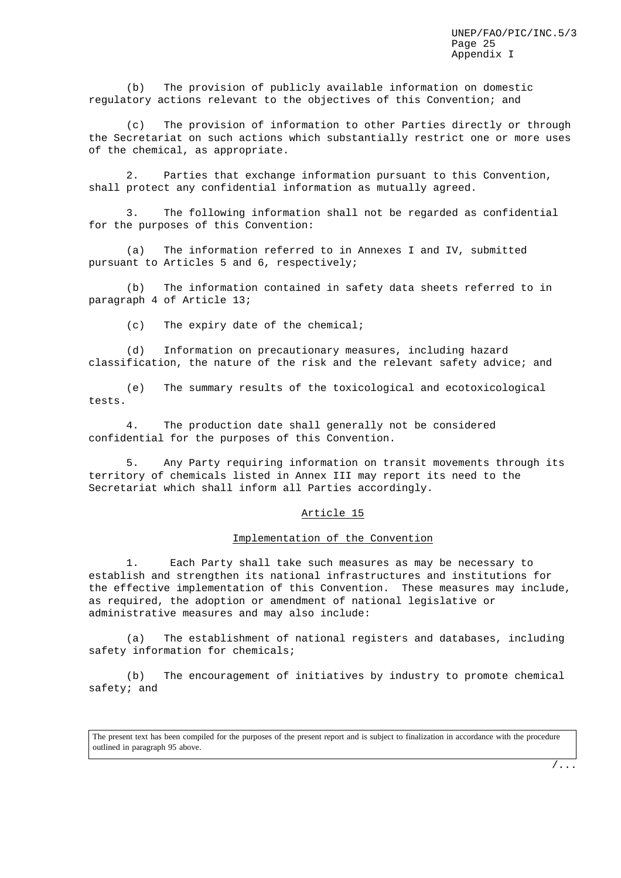(b) The provision of publicly available information on domestic regulatory actions relevant to the objectives of this Convention; and

(c) The provision of information to other Parties directly or through the Secretariat on such actions which substantially restrict one or more uses of the chemical, as appropriate.

2. Parties that exchange information pursuant to this Convention, shall protect any confidential information as mutually agreed.

3. The following information shall not be regarded as confidential for the purposes of this Convention:

(a) The information referred to in Annexes I and IV, submitted pursuant to Articles 5 and 6, respectively;

(b) The information contained in safety data sheets referred to in paragraph 4 of Article 13;

(c) The expiry date of the chemical;

(d) Information on precautionary measures, including hazard classification, the nature of the risk and the relevant safety advice; and

(e) The summary results of the toxicological and ecotoxicological tests.

4. The production date shall generally not be considered confidential for the purposes of this Convention.

5. Any Party requiring information on transit movements through its territory of chemicals listed in Annex III may report its need to the Secretariat which shall inform all Parties accordingly.

#### Article 15

## Implementation of the Convention

1. Each Party shall take such measures as may be necessary to establish and strengthen its national infrastructures and institutions for the effective implementation of this Convention. These measures may include, as required, the adoption or amendment of national legislative or administrative measures and may also include:

(a) The establishment of national registers and databases, including safety information for chemicals;

(b) The encouragement of initiatives by industry to promote chemical safety; and

The present text has been compiled for the purposes of the present report and is subject to finalization in accordance with the procedure outlined in paragraph 95 above.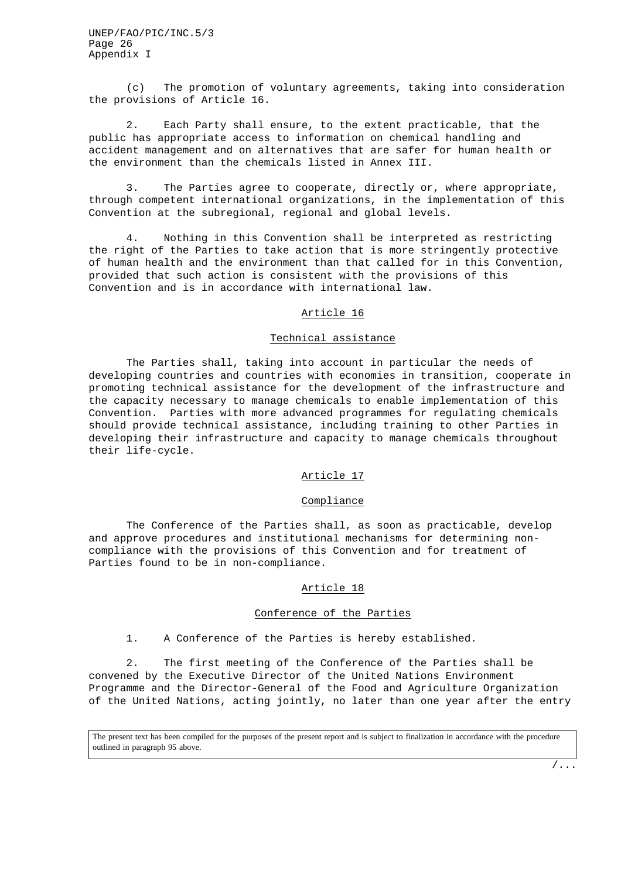UNEP/FAO/PIC/INC.5/3 Page 26 Appendix I

(c) The promotion of voluntary agreements, taking into consideration the provisions of Article 16.

2. Each Party shall ensure, to the extent practicable, that the public has appropriate access to information on chemical handling and accident management and on alternatives that are safer for human health or the environment than the chemicals listed in Annex III.

3. The Parties agree to cooperate, directly or, where appropriate, through competent international organizations, in the implementation of this Convention at the subregional, regional and global levels.

4. Nothing in this Convention shall be interpreted as restricting the right of the Parties to take action that is more stringently protective of human health and the environment than that called for in this Convention, provided that such action is consistent with the provisions of this Convention and is in accordance with international law.

## Article 16

## Technical assistance

The Parties shall, taking into account in particular the needs of developing countries and countries with economies in transition, cooperate in promoting technical assistance for the development of the infrastructure and the capacity necessary to manage chemicals to enable implementation of this Convention. Parties with more advanced programmes for regulating chemicals should provide technical assistance, including training to other Parties in developing their infrastructure and capacity to manage chemicals throughout their life-cycle.

### Article 17

## Compliance

The Conference of the Parties shall, as soon as practicable, develop and approve procedures and institutional mechanisms for determining noncompliance with the provisions of this Convention and for treatment of Parties found to be in non-compliance.

## Article 18

#### Conference of the Parties

1. A Conference of the Parties is hereby established.

2. The first meeting of the Conference of the Parties shall be convened by the Executive Director of the United Nations Environment Programme and the Director-General of the Food and Agriculture Organization of the United Nations, acting jointly, no later than one year after the entry

The present text has been compiled for the purposes of the present report and is subject to finalization in accordance with the procedure outlined in paragraph 95 above.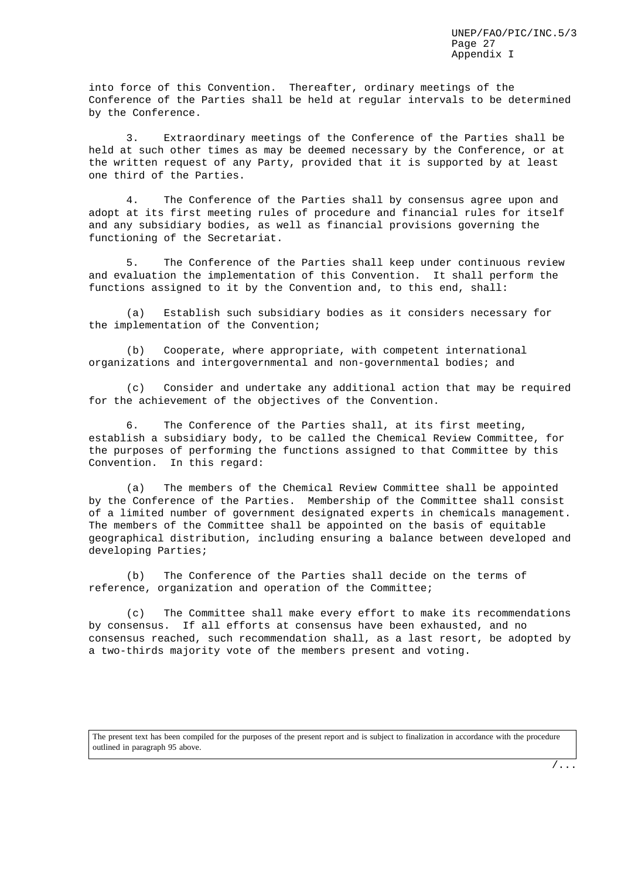into force of this Convention. Thereafter, ordinary meetings of the Conference of the Parties shall be held at regular intervals to be determined by the Conference.

3. Extraordinary meetings of the Conference of the Parties shall be held at such other times as may be deemed necessary by the Conference, or at the written request of any Party, provided that it is supported by at least one third of the Parties.

4. The Conference of the Parties shall by consensus agree upon and adopt at its first meeting rules of procedure and financial rules for itself and any subsidiary bodies, as well as financial provisions governing the functioning of the Secretariat.

5. The Conference of the Parties shall keep under continuous review and evaluation the implementation of this Convention. It shall perform the functions assigned to it by the Convention and, to this end, shall:

(a) Establish such subsidiary bodies as it considers necessary for the implementation of the Convention;

(b) Cooperate, where appropriate, with competent international organizations and intergovernmental and non-governmental bodies; and

(c) Consider and undertake any additional action that may be required for the achievement of the objectives of the Convention.

6. The Conference of the Parties shall, at its first meeting, establish a subsidiary body, to be called the Chemical Review Committee, for the purposes of performing the functions assigned to that Committee by this Convention. In this regard:

(a) The members of the Chemical Review Committee shall be appointed by the Conference of the Parties. Membership of the Committee shall consist of a limited number of government designated experts in chemicals management. The members of the Committee shall be appointed on the basis of equitable geographical distribution, including ensuring a balance between developed and developing Parties;

(b) The Conference of the Parties shall decide on the terms of reference, organization and operation of the Committee;

(c) The Committee shall make every effort to make its recommendations by consensus. If all efforts at consensus have been exhausted, and no consensus reached, such recommendation shall, as a last resort, be adopted by a two-thirds majority vote of the members present and voting.

The present text has been compiled for the purposes of the present report and is subject to finalization in accordance with the procedure outlined in paragraph 95 above.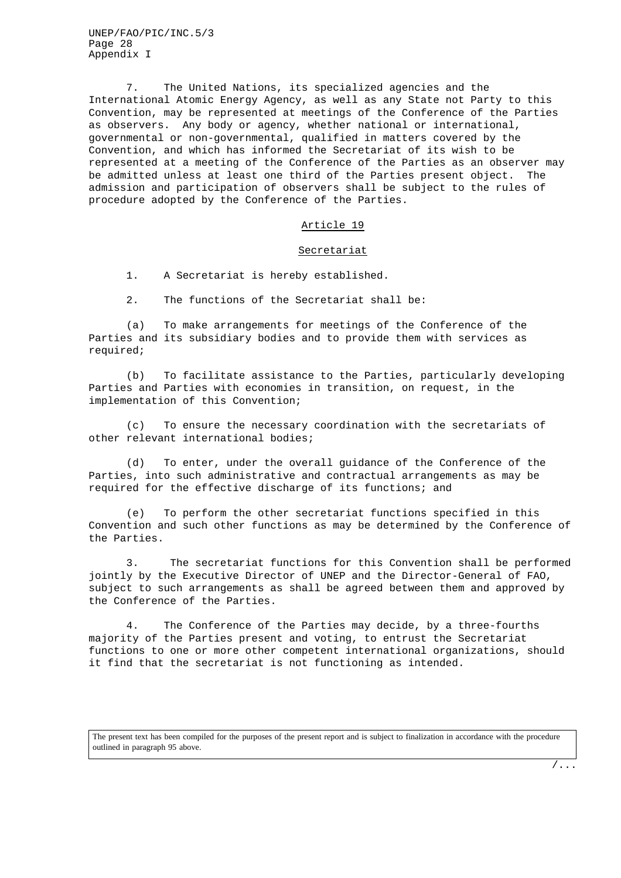UNEP/FAO/PIC/INC.5/3 Page 28 Appendix I

7. The United Nations, its specialized agencies and the International Atomic Energy Agency, as well as any State not Party to this Convention, may be represented at meetings of the Conference of the Parties as observers. Any body or agency, whether national or international, governmental or non-governmental, qualified in matters covered by the Convention, and which has informed the Secretariat of its wish to be represented at a meeting of the Conference of the Parties as an observer may be admitted unless at least one third of the Parties present object. The admission and participation of observers shall be subject to the rules of procedure adopted by the Conference of the Parties.

#### Article 19

#### Secretariat

1. A Secretariat is hereby established.

2. The functions of the Secretariat shall be:

(a) To make arrangements for meetings of the Conference of the Parties and its subsidiary bodies and to provide them with services as required;

(b) To facilitate assistance to the Parties, particularly developing Parties and Parties with economies in transition, on request, in the implementation of this Convention;

(c) To ensure the necessary coordination with the secretariats of other relevant international bodies;

(d) To enter, under the overall guidance of the Conference of the Parties, into such administrative and contractual arrangements as may be required for the effective discharge of its functions; and

(e) To perform the other secretariat functions specified in this Convention and such other functions as may be determined by the Conference of the Parties.

3. The secretariat functions for this Convention shall be performed jointly by the Executive Director of UNEP and the Director-General of FAO, subject to such arrangements as shall be agreed between them and approved by the Conference of the Parties.

4. The Conference of the Parties may decide, by a three-fourths majority of the Parties present and voting, to entrust the Secretariat functions to one or more other competent international organizations, should it find that the secretariat is not functioning as intended.

The present text has been compiled for the purposes of the present report and is subject to finalization in accordance with the procedure outlined in paragraph 95 above.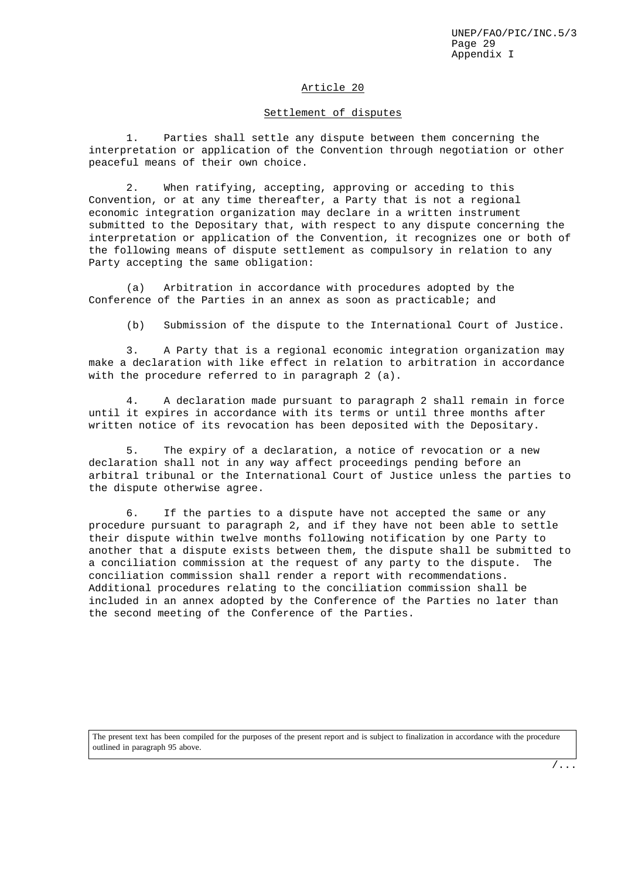### Article 20

## Settlement of disputes

1. Parties shall settle any dispute between them concerning the interpretation or application of the Convention through negotiation or other peaceful means of their own choice.

2. When ratifying, accepting, approving or acceding to this Convention, or at any time thereafter, a Party that is not a regional economic integration organization may declare in a written instrument submitted to the Depositary that, with respect to any dispute concerning the interpretation or application of the Convention, it recognizes one or both of the following means of dispute settlement as compulsory in relation to any Party accepting the same obligation:

(a) Arbitration in accordance with procedures adopted by the Conference of the Parties in an annex as soon as practicable; and

(b) Submission of the dispute to the International Court of Justice.

3. A Party that is a regional economic integration organization may make a declaration with like effect in relation to arbitration in accordance with the procedure referred to in paragraph 2 (a).

4. A declaration made pursuant to paragraph 2 shall remain in force until it expires in accordance with its terms or until three months after written notice of its revocation has been deposited with the Depositary.

5. The expiry of a declaration, a notice of revocation or a new declaration shall not in any way affect proceedings pending before an arbitral tribunal or the International Court of Justice unless the parties to the dispute otherwise agree.

6. If the parties to a dispute have not accepted the same or any procedure pursuant to paragraph 2, and if they have not been able to settle their dispute within twelve months following notification by one Party to another that a dispute exists between them, the dispute shall be submitted to a conciliation commission at the request of any party to the dispute. The conciliation commission shall render a report with recommendations. Additional procedures relating to the conciliation commission shall be included in an annex adopted by the Conference of the Parties no later than the second meeting of the Conference of the Parties.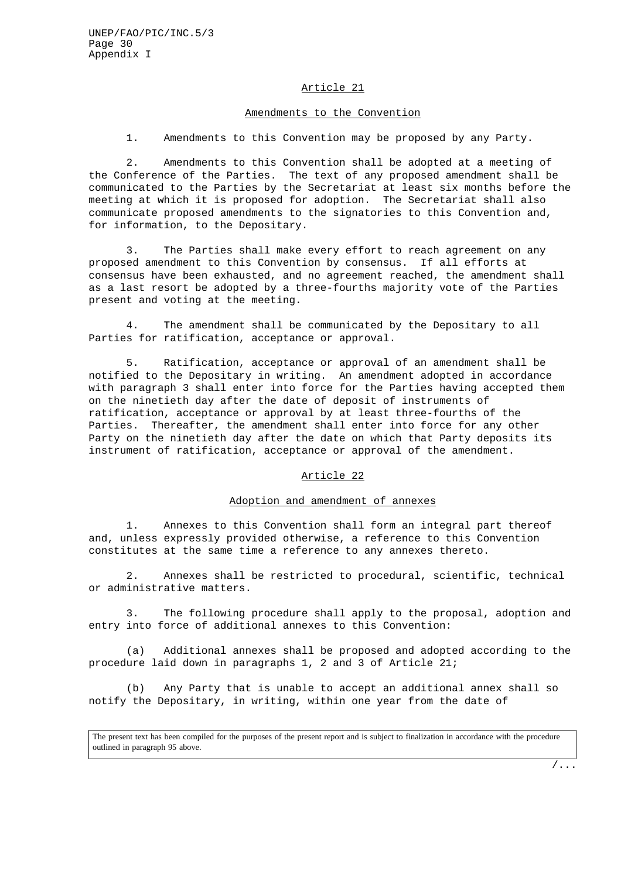## Article 21

#### Amendments to the Convention

1. Amendments to this Convention may be proposed by any Party.

2. Amendments to this Convention shall be adopted at a meeting of the Conference of the Parties. The text of any proposed amendment shall be communicated to the Parties by the Secretariat at least six months before the meeting at which it is proposed for adoption. The Secretariat shall also communicate proposed amendments to the signatories to this Convention and, for information, to the Depositary.

3. The Parties shall make every effort to reach agreement on any proposed amendment to this Convention by consensus. If all efforts at consensus have been exhausted, and no agreement reached, the amendment shall as a last resort be adopted by a three-fourths majority vote of the Parties present and voting at the meeting.

4. The amendment shall be communicated by the Depositary to all Parties for ratification, acceptance or approval.

5. Ratification, acceptance or approval of an amendment shall be notified to the Depositary in writing. An amendment adopted in accordance with paragraph 3 shall enter into force for the Parties having accepted them on the ninetieth day after the date of deposit of instruments of ratification, acceptance or approval by at least three-fourths of the Parties. Thereafter, the amendment shall enter into force for any other Party on the ninetieth day after the date on which that Party deposits its instrument of ratification, acceptance or approval of the amendment.

#### Article 22

## Adoption and amendment of annexes

1. Annexes to this Convention shall form an integral part thereof and, unless expressly provided otherwise, a reference to this Convention constitutes at the same time a reference to any annexes thereto.

2. Annexes shall be restricted to procedural, scientific, technical or administrative matters.

3. The following procedure shall apply to the proposal, adoption and entry into force of additional annexes to this Convention:

(a) Additional annexes shall be proposed and adopted according to the procedure laid down in paragraphs 1, 2 and 3 of Article 21;

(b) Any Party that is unable to accept an additional annex shall so notify the Depositary, in writing, within one year from the date of

The present text has been compiled for the purposes of the present report and is subject to finalization in accordance with the procedure outlined in paragraph 95 above.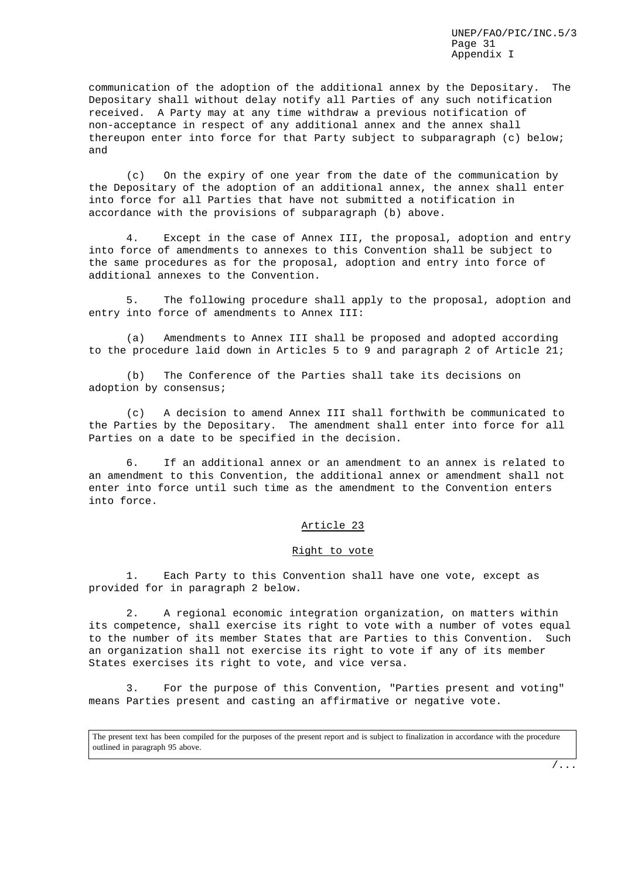UNEP/FAO/PIC/INC.5/3 Page 31 Appendix I

communication of the adoption of the additional annex by the Depositary. The Depositary shall without delay notify all Parties of any such notification received. A Party may at any time withdraw a previous notification of non-acceptance in respect of any additional annex and the annex shall thereupon enter into force for that Party subject to subparagraph (c) below; and

(c) On the expiry of one year from the date of the communication by the Depositary of the adoption of an additional annex, the annex shall enter into force for all Parties that have not submitted a notification in accordance with the provisions of subparagraph (b) above.

4. Except in the case of Annex III, the proposal, adoption and entry into force of amendments to annexes to this Convention shall be subject to the same procedures as for the proposal, adoption and entry into force of additional annexes to the Convention.

5. The following procedure shall apply to the proposal, adoption and entry into force of amendments to Annex III:

(a) Amendments to Annex III shall be proposed and adopted according to the procedure laid down in Articles 5 to 9 and paragraph 2 of Article 21;

(b) The Conference of the Parties shall take its decisions on adoption by consensus;

(c) A decision to amend Annex III shall forthwith be communicated to the Parties by the Depositary. The amendment shall enter into force for all Parties on a date to be specified in the decision.

6. If an additional annex or an amendment to an annex is related to an amendment to this Convention, the additional annex or amendment shall not enter into force until such time as the amendment to the Convention enters into force.

#### Article 23

#### Right to vote

1. Each Party to this Convention shall have one vote, except as provided for in paragraph 2 below.

2. A regional economic integration organization, on matters within its competence, shall exercise its right to vote with a number of votes equal to the number of its member States that are Parties to this Convention. Such an organization shall not exercise its right to vote if any of its member States exercises its right to vote, and vice versa.

3. For the purpose of this Convention, "Parties present and voting" means Parties present and casting an affirmative or negative vote.

The present text has been compiled for the purposes of the present report and is subject to finalization in accordance with the procedure outlined in paragraph 95 above.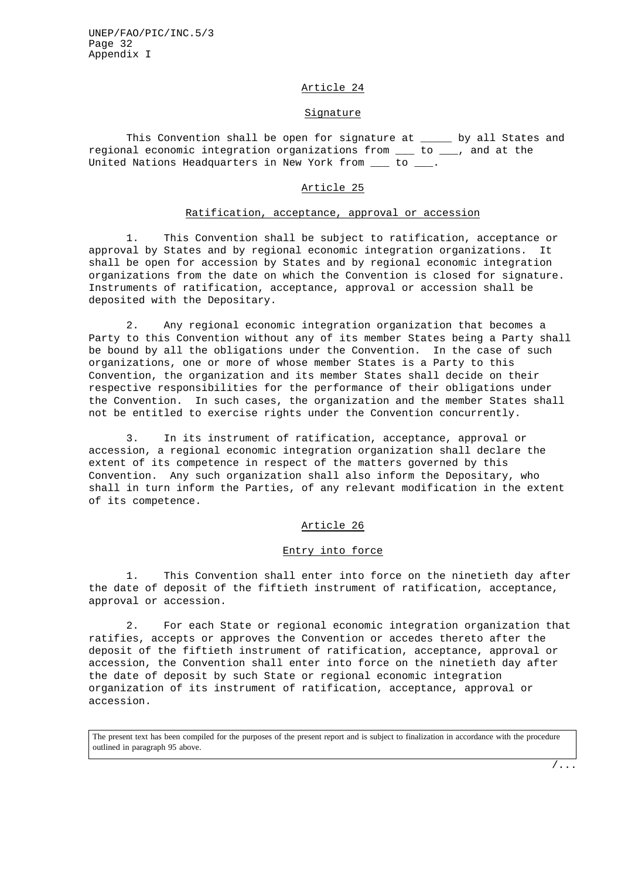## Article 24

## Signature

This Convention shall be open for signature at by all States and regional economic integration organizations from \_\_\_ to \_\_\_, and at the United Nations Headquarters in New York from to .

## Article 25

### Ratification, acceptance, approval or accession

1. This Convention shall be subject to ratification, acceptance or approval by States and by regional economic integration organizations. It shall be open for accession by States and by regional economic integration organizations from the date on which the Convention is closed for signature. Instruments of ratification, acceptance, approval or accession shall be deposited with the Depositary.

2. Any regional economic integration organization that becomes a Party to this Convention without any of its member States being a Party shall be bound by all the obligations under the Convention. In the case of such organizations, one or more of whose member States is a Party to this Convention, the organization and its member States shall decide on their respective responsibilities for the performance of their obligations under the Convention. In such cases, the organization and the member States shall not be entitled to exercise rights under the Convention concurrently.

3. In its instrument of ratification, acceptance, approval or accession, a regional economic integration organization shall declare the extent of its competence in respect of the matters governed by this Convention. Any such organization shall also inform the Depositary, who shall in turn inform the Parties, of any relevant modification in the extent of its competence.

## Article 26

#### Entry into force

1. This Convention shall enter into force on the ninetieth day after the date of deposit of the fiftieth instrument of ratification, acceptance, approval or accession.

2. For each State or regional economic integration organization that ratifies, accepts or approves the Convention or accedes thereto after the deposit of the fiftieth instrument of ratification, acceptance, approval or accession, the Convention shall enter into force on the ninetieth day after the date of deposit by such State or regional economic integration organization of its instrument of ratification, acceptance, approval or accession.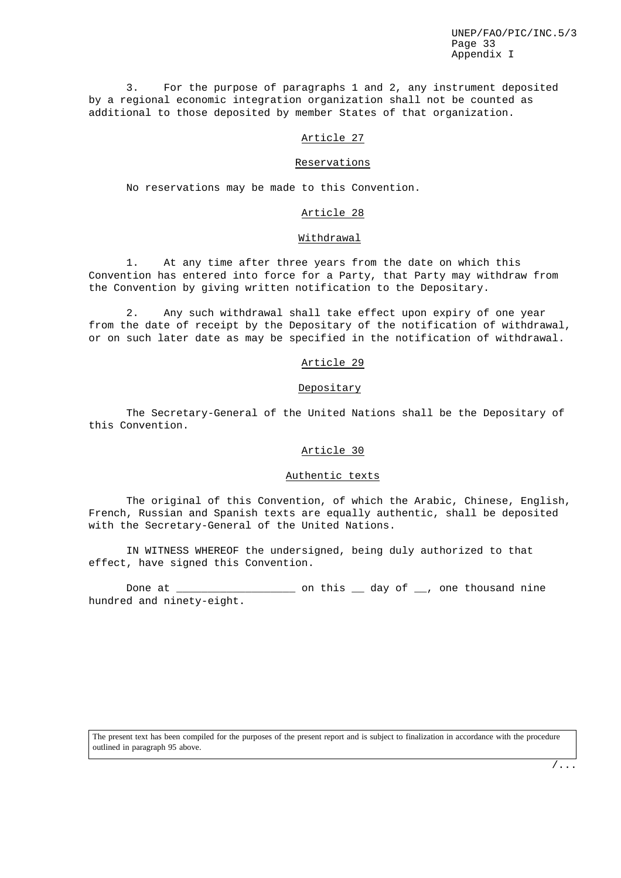UNEP/FAO/PIC/INC.5/3 Page 33 Appendix I

3. For the purpose of paragraphs 1 and 2, any instrument deposited by a regional economic integration organization shall not be counted as additional to those deposited by member States of that organization.

#### Article 27

#### Reservations

No reservations may be made to this Convention.

### Article 28

## Withdrawal

1. At any time after three years from the date on which this Convention has entered into force for a Party, that Party may withdraw from the Convention by giving written notification to the Depositary.

2. Any such withdrawal shall take effect upon expiry of one year from the date of receipt by the Depositary of the notification of withdrawal, or on such later date as may be specified in the notification of withdrawal.

## Article 29

#### Depositary

The Secretary-General of the United Nations shall be the Depositary of this Convention.

## Article 30

#### Authentic texts

The original of this Convention, of which the Arabic, Chinese, English, French, Russian and Spanish texts are equally authentic, shall be deposited with the Secretary-General of the United Nations.

IN WITNESS WHEREOF the undersigned, being duly authorized to that effect, have signed this Convention.

Done at \_\_\_\_\_\_\_\_\_\_\_\_\_\_\_\_\_\_\_\_\_\_\_\_\_\_ on this \_\_\_ day of \_\_, one thousand nine hundred and ninety-eight.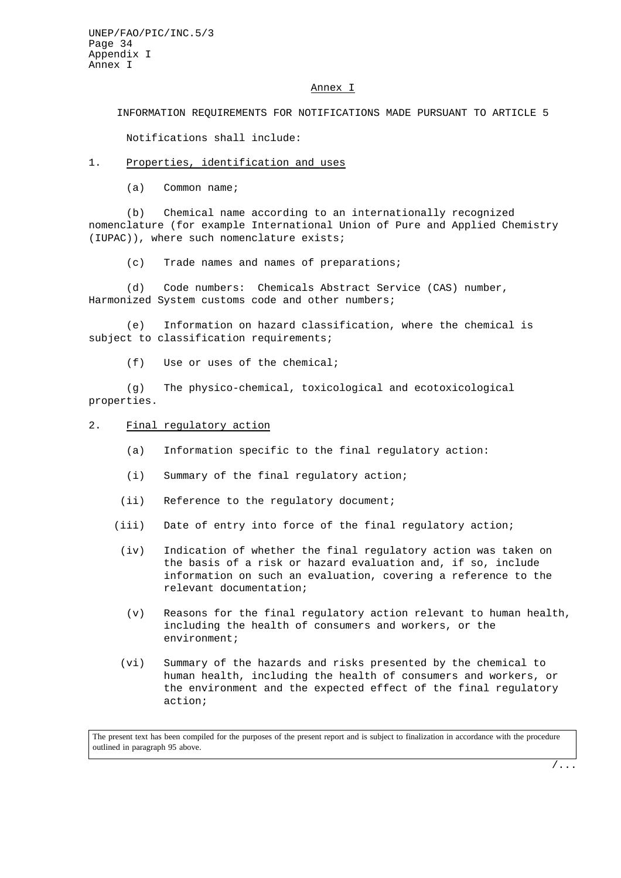### Annex I

INFORMATION REQUIREMENTS FOR NOTIFICATIONS MADE PURSUANT TO ARTICLE 5

Notifications shall include:

#### 1. Properties, identification and uses

(a) Common name;

(b) Chemical name according to an internationally recognized nomenclature (for example International Union of Pure and Applied Chemistry (IUPAC)), where such nomenclature exists;

(c) Trade names and names of preparations;

(d) Code numbers: Chemicals Abstract Service (CAS) number, Harmonized System customs code and other numbers;

(e) Information on hazard classification, where the chemical is subject to classification requirements;

(f) Use or uses of the chemical;

(g) The physico-chemical, toxicological and ecotoxicological properties.

### 2. Final regulatory action

- (a) Information specific to the final regulatory action:
- (i) Summary of the final regulatory action;
- (ii) Reference to the regulatory document;
- (iii) Date of entry into force of the final regulatory action;
- (iv) Indication of whether the final regulatory action was taken on the basis of a risk or hazard evaluation and, if so, include information on such an evaluation, covering a reference to the relevant documentation;
- (v) Reasons for the final regulatory action relevant to human health, including the health of consumers and workers, or the environment;
- (vi) Summary of the hazards and risks presented by the chemical to human health, including the health of consumers and workers, or the environment and the expected effect of the final regulatory action;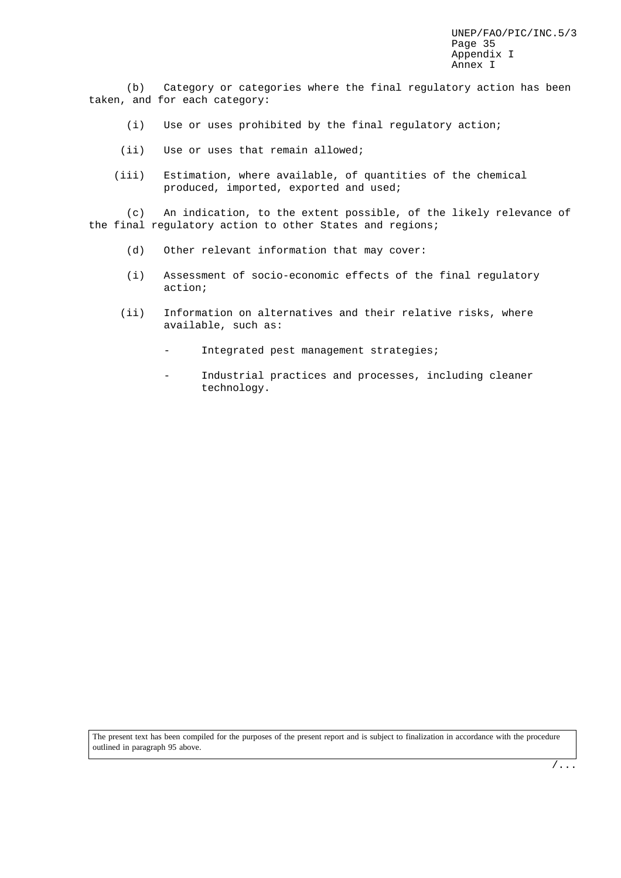UNEP/FAO/PIC/INC.5/3 Page 35 Appendix I Annex I

(b) Category or categories where the final regulatory action has been taken, and for each category:

- (i) Use or uses prohibited by the final regulatory action;
- (ii) Use or uses that remain allowed;
- (iii) Estimation, where available, of quantities of the chemical produced, imported, exported and used;

(c) An indication, to the extent possible, of the likely relevance of the final regulatory action to other States and regions;

- (d) Other relevant information that may cover:
- (i) Assessment of socio-economic effects of the final regulatory action;
- (ii) Information on alternatives and their relative risks, where available, such as:
	- Integrated pest management strategies;
	- Industrial practices and processes, including cleaner technology.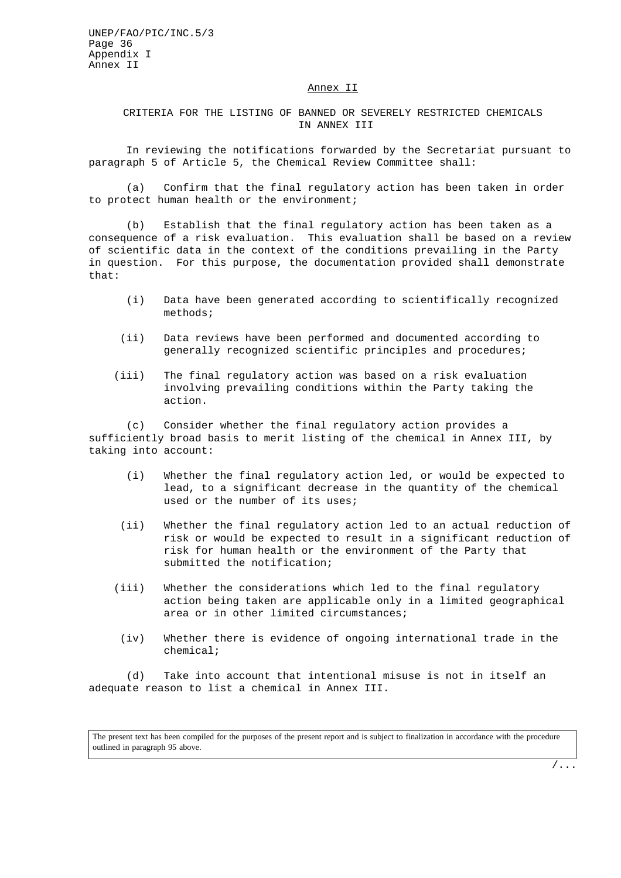UNEP/FAO/PIC/INC.5/3 Page 36 Appendix I Annex II

#### Annex II

## CRITERIA FOR THE LISTING OF BANNED OR SEVERELY RESTRICTED CHEMICALS IN ANNEX III

In reviewing the notifications forwarded by the Secretariat pursuant to paragraph 5 of Article 5, the Chemical Review Committee shall:

(a) Confirm that the final regulatory action has been taken in order to protect human health or the environment;

(b) Establish that the final regulatory action has been taken as a consequence of a risk evaluation. This evaluation shall be based on a review of scientific data in the context of the conditions prevailing in the Party in question. For this purpose, the documentation provided shall demonstrate that:

- (i) Data have been generated according to scientifically recognized methods;
- (ii) Data reviews have been performed and documented according to generally recognized scientific principles and procedures;
- (iii) The final regulatory action was based on a risk evaluation involving prevailing conditions within the Party taking the action.

(c) Consider whether the final regulatory action provides a sufficiently broad basis to merit listing of the chemical in Annex III, by taking into account:

- (i) Whether the final regulatory action led, or would be expected to lead, to a significant decrease in the quantity of the chemical used or the number of its uses;
- (ii) Whether the final regulatory action led to an actual reduction of risk or would be expected to result in a significant reduction of risk for human health or the environment of the Party that submitted the notification;
- (iii) Whether the considerations which led to the final regulatory action being taken are applicable only in a limited geographical area or in other limited circumstances;
- (iv) Whether there is evidence of ongoing international trade in the chemical;

(d) Take into account that intentional misuse is not in itself an adequate reason to list a chemical in Annex III.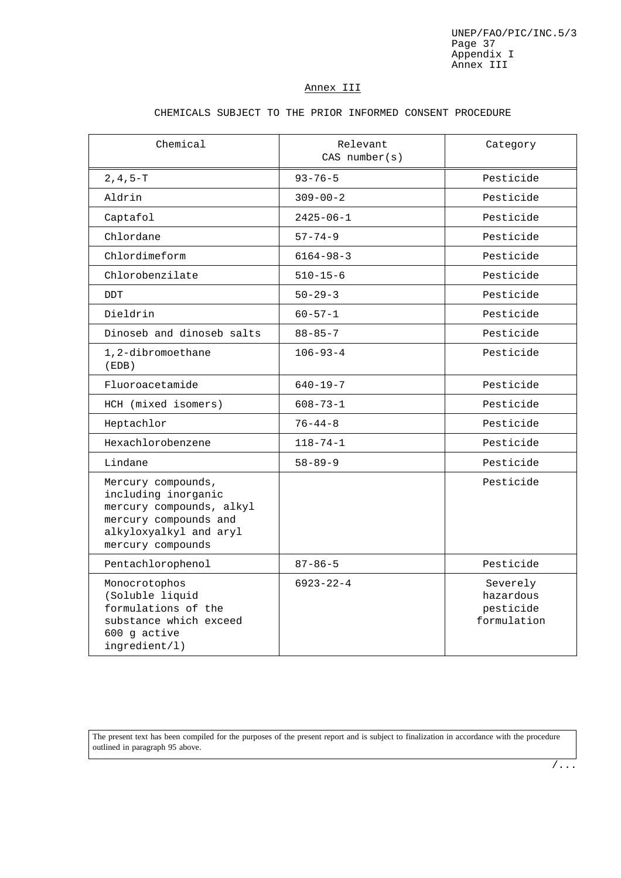UNEP/FAO/PIC/INC.5/3 Page 37 Appendix I Annex III

## Annex III

| Chemical                                                                                                                                      | Relevant<br>CAS number(s) | Category                                          |
|-----------------------------------------------------------------------------------------------------------------------------------------------|---------------------------|---------------------------------------------------|
|                                                                                                                                               |                           |                                                   |
| $2, 4, 5-T$                                                                                                                                   | $93 - 76 - 5$             | Pesticide                                         |
| Aldrin                                                                                                                                        | $309 - 00 - 2$            | Pesticide                                         |
| Captafol                                                                                                                                      | $2425 - 06 - 1$           | Pesticide                                         |
| Chlordane                                                                                                                                     | $57 - 74 - 9$             | Pesticide                                         |
| Chlordimeform                                                                                                                                 | $6164 - 98 - 3$           | Pesticide                                         |
| Chlorobenzilate                                                                                                                               | $510 - 15 - 6$            | Pesticide                                         |
| <b>DDT</b>                                                                                                                                    | $50 - 29 - 3$             | Pesticide                                         |
| Dieldrin                                                                                                                                      | $60 - 57 - 1$             | Pesticide                                         |
| Dinoseb and dinoseb salts                                                                                                                     | $88 - 85 - 7$             | Pesticide                                         |
| 1,2-dibromoethane<br>(EDB)                                                                                                                    | $106 - 93 - 4$            | Pesticide                                         |
| Fluoroacetamide                                                                                                                               | $640 - 19 - 7$            | Pesticide                                         |
| HCH (mixed isomers)                                                                                                                           | $608 - 73 - 1$            | Pesticide                                         |
| Heptachlor                                                                                                                                    | $76 - 44 - 8$             | Pesticide                                         |
| Hexachlorobenzene                                                                                                                             | $118 - 74 - 1$            | Pesticide                                         |
| Lindane                                                                                                                                       | $58 - 89 - 9$             | Pesticide                                         |
| Mercury compounds,<br>including inorganic<br>mercury compounds, alkyl<br>mercury compounds and<br>alkyloxyalkyl and aryl<br>mercury compounds |                           | Pesticide                                         |
| Pentachlorophenol                                                                                                                             | $87 - 86 - 5$             | Pesticide                                         |
| Monocrotophos<br>(Soluble liquid<br>formulations of the<br>substance which exceed<br>600 g active<br>ingredient/1)                            | $6923 - 22 - 4$           | Severely<br>hazardous<br>pesticide<br>formulation |

## CHEMICALS SUBJECT TO THE PRIOR INFORMED CONSENT PROCEDURE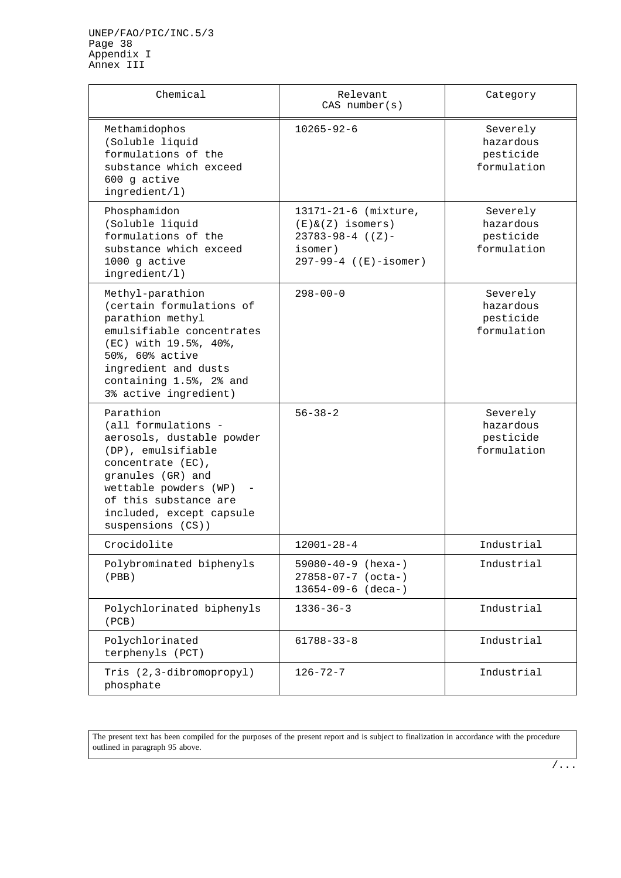| Chemical                                                                                                                                                                                                                         | Relevant<br>CAS $number(s)$                                                                                         | Category                                          |
|----------------------------------------------------------------------------------------------------------------------------------------------------------------------------------------------------------------------------------|---------------------------------------------------------------------------------------------------------------------|---------------------------------------------------|
| Methamidophos<br>(Soluble liquid<br>formulations of the<br>substance which exceed<br>600 g active<br>ingredient/1)                                                                                                               | $10265 - 92 - 6$                                                                                                    | Severely<br>hazardous<br>pesticide<br>formulation |
| Phosphamidon<br>(Soluble liquid<br>formulations of the<br>substance which exceed<br>$1000$ g active<br>ingredient/1)                                                                                                             | 13171-21-6 (mixture,<br>$(E)$ & $(Z)$ isomers)<br>$23783 - 98 - 4$ ((Z) -<br>isomer)<br>$297-99-4$ ( $(E)$ -isomer) | Severely<br>hazardous<br>pesticide<br>formulation |
| Methyl-parathion<br>(certain formulations of<br>parathion methyl<br>emulsifiable concentrates<br>(EC) with 19.5%, 40%,<br>50%, 60% active<br>ingredient and dusts<br>containing 1.5%, 2% and<br>3% active ingredient)            | $298 - 00 - 0$                                                                                                      | Severely<br>hazardous<br>pesticide<br>formulation |
| Parathion<br>(all formulations -<br>aerosols, dustable powder<br>(DP), emulsifiable<br>concentrate (EC),<br>granules (GR) and<br>wettable powders (WP)<br>of this substance are<br>included, except capsule<br>suspensions (CS)) | $56 - 38 - 2$                                                                                                       | Severely<br>hazardous<br>pesticide<br>formulation |
| Crocidolite                                                                                                                                                                                                                      | $12001 - 28 - 4$                                                                                                    | Industrial                                        |
| Polybrominated biphenyls<br>(PBB)                                                                                                                                                                                                | $59080 - 40 - 9$ (hexa-)<br>$27858 - 07 - 7$ (octa-)<br>$13654-09-6$ (deca-)                                        | Industrial                                        |
| Polychlorinated biphenyls<br>(PCB)                                                                                                                                                                                               | $1336 - 36 - 3$                                                                                                     | Industrial                                        |
| Polychlorinated<br>terphenyls (PCT)                                                                                                                                                                                              | $61788 - 33 - 8$                                                                                                    | Industrial                                        |
| Tris (2,3-dibromopropyl)<br>phosphate                                                                                                                                                                                            | $126 - 72 - 7$                                                                                                      | Industrial                                        |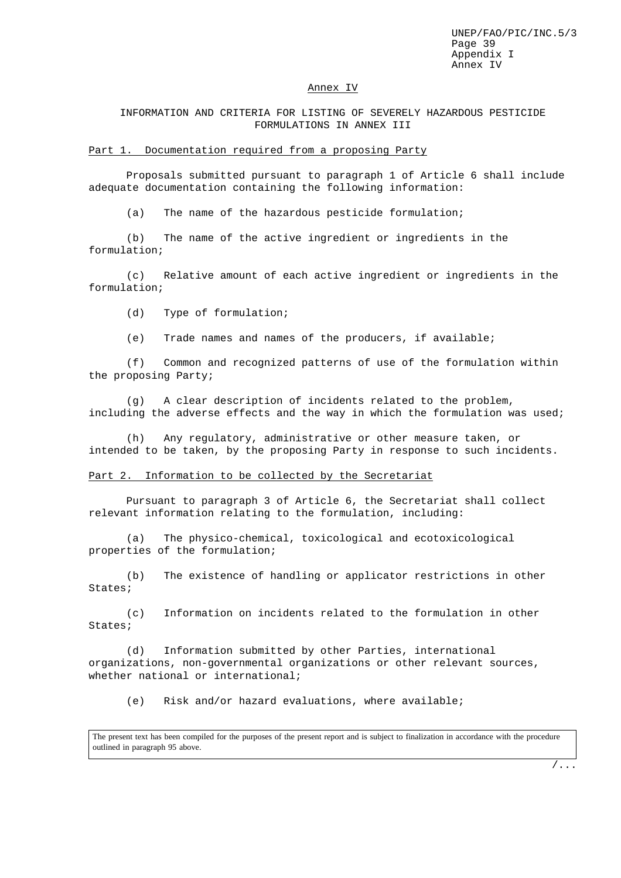UNEP/FAO/PIC/INC.5/3 Page 39 Appendix I Annex IV

### Annex IV

INFORMATION AND CRITERIA FOR LISTING OF SEVERELY HAZARDOUS PESTICIDE FORMULATIONS IN ANNEX III

### Part 1. Documentation required from a proposing Party

Proposals submitted pursuant to paragraph 1 of Article 6 shall include adequate documentation containing the following information:

(a) The name of the hazardous pesticide formulation;

(b) The name of the active ingredient or ingredients in the formulation;

(c) Relative amount of each active ingredient or ingredients in the formulation;

(d) Type of formulation;

(e) Trade names and names of the producers, if available;

(f) Common and recognized patterns of use of the formulation within the proposing Party;

(g) A clear description of incidents related to the problem, including the adverse effects and the way in which the formulation was used;

(h) Any regulatory, administrative or other measure taken, or intended to be taken, by the proposing Party in response to such incidents.

#### Part 2. Information to be collected by the Secretariat

Pursuant to paragraph 3 of Article 6, the Secretariat shall collect relevant information relating to the formulation, including:

(a) The physico-chemical, toxicological and ecotoxicological properties of the formulation;

(b) The existence of handling or applicator restrictions in other States;

(c) Information on incidents related to the formulation in other States;

(d) Information submitted by other Parties, international organizations, non-governmental organizations or other relevant sources, whether national or international;

(e) Risk and/or hazard evaluations, where available;

The present text has been compiled for the purposes of the present report and is subject to finalization in accordance with the procedure outlined in paragraph 95 above.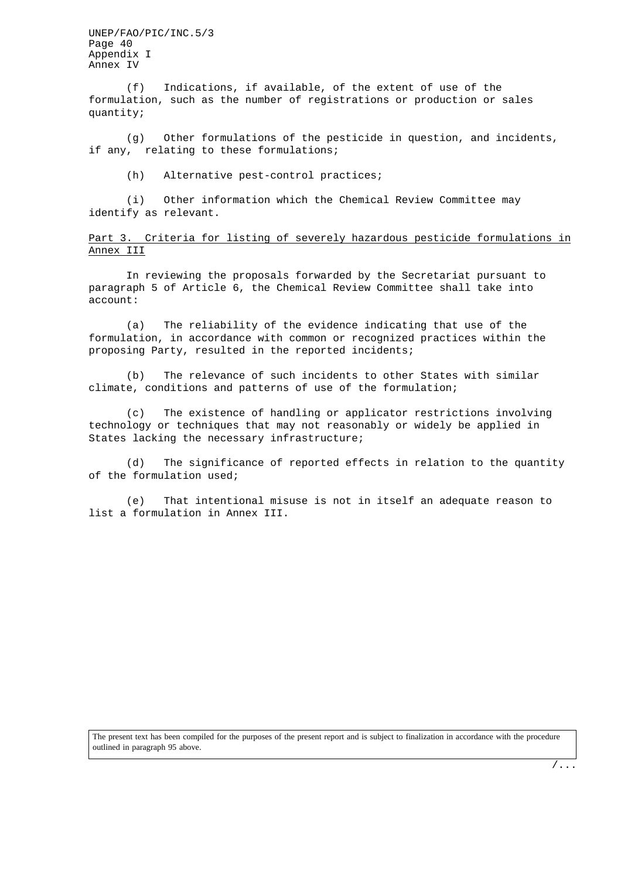UNEP/FAO/PIC/INC.5/3 Page 40 Appendix I Annex IV

(f) Indications, if available, of the extent of use of the formulation, such as the number of registrations or production or sales quantity;

(g) Other formulations of the pesticide in question, and incidents, if any, relating to these formulations;

(h) Alternative pest-control practices;

(i) Other information which the Chemical Review Committee may identify as relevant.

Part 3. Criteria for listing of severely hazardous pesticide formulations in Annex III

In reviewing the proposals forwarded by the Secretariat pursuant to paragraph 5 of Article 6, the Chemical Review Committee shall take into account:

(a) The reliability of the evidence indicating that use of the formulation, in accordance with common or recognized practices within the proposing Party, resulted in the reported incidents;

(b) The relevance of such incidents to other States with similar climate, conditions and patterns of use of the formulation;

(c) The existence of handling or applicator restrictions involving technology or techniques that may not reasonably or widely be applied in States lacking the necessary infrastructure;

(d) The significance of reported effects in relation to the quantity of the formulation used;

(e) That intentional misuse is not in itself an adequate reason to list a formulation in Annex III.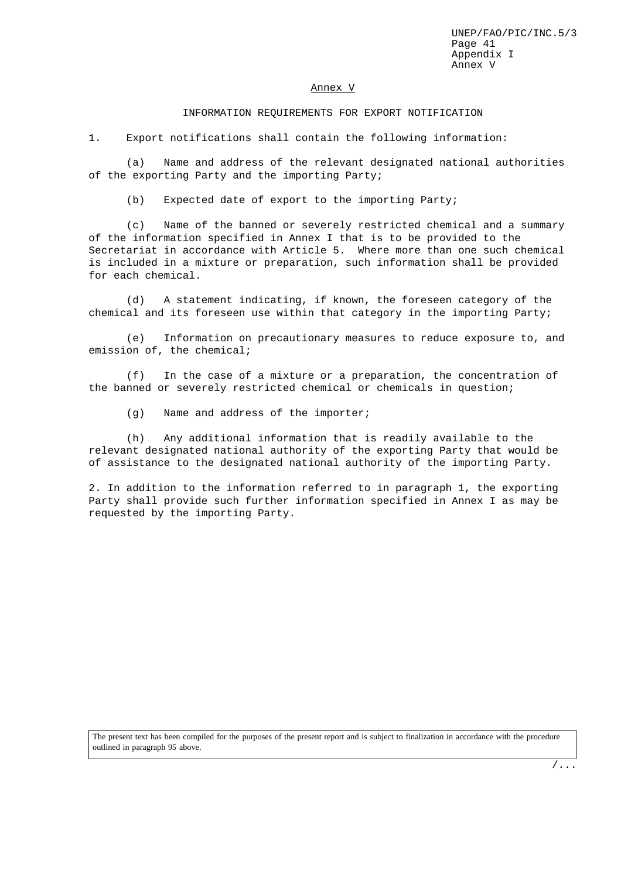UNEP/FAO/PIC/INC.5/3 Page 41 Appendix I Annex V

#### Annex V

#### INFORMATION REQUIREMENTS FOR EXPORT NOTIFICATION

1. Export notifications shall contain the following information:

(a) Name and address of the relevant designated national authorities of the exporting Party and the importing Party;

(b) Expected date of export to the importing Party;

(c) Name of the banned or severely restricted chemical and a summary of the information specified in Annex I that is to be provided to the Secretariat in accordance with Article 5. Where more than one such chemical is included in a mixture or preparation, such information shall be provided for each chemical.

(d) A statement indicating, if known, the foreseen category of the chemical and its foreseen use within that category in the importing Party;

(e) Information on precautionary measures to reduce exposure to, and emission of, the chemical;

(f) In the case of a mixture or a preparation, the concentration of the banned or severely restricted chemical or chemicals in question;

(g) Name and address of the importer;

(h) Any additional information that is readily available to the relevant designated national authority of the exporting Party that would be of assistance to the designated national authority of the importing Party.

2. In addition to the information referred to in paragraph 1, the exporting Party shall provide such further information specified in Annex I as may be requested by the importing Party.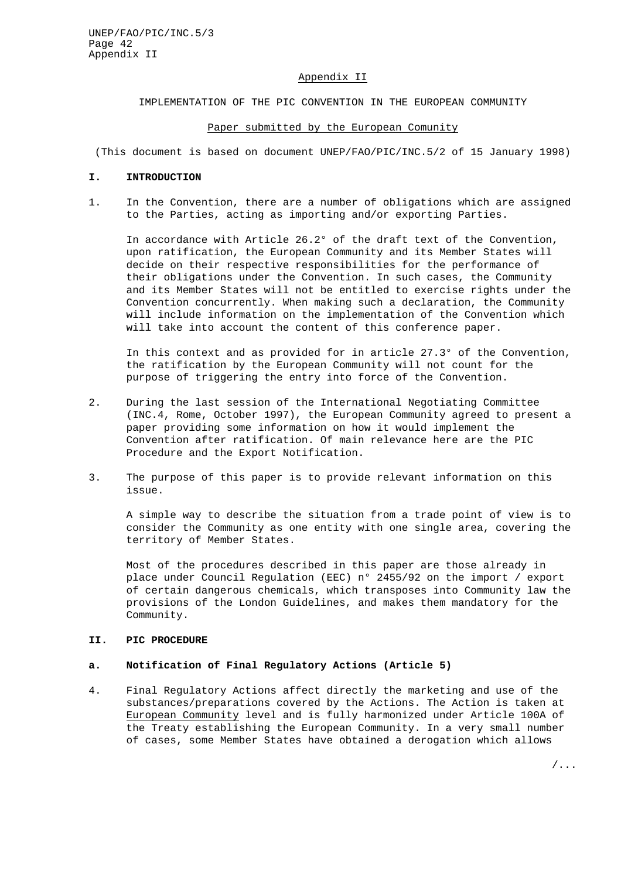## Appendix II

#### IMPLEMENTATION OF THE PIC CONVENTION IN THE EUROPEAN COMMUNITY

#### Paper submitted by the European Comunity

(This document is based on document UNEP/FAO/PIC/INC.5/2 of 15 January 1998)

### **I. INTRODUCTION**

1. In the Convention, there are a number of obligations which are assigned to the Parties, acting as importing and/or exporting Parties.

In accordance with Article 26.2° of the draft text of the Convention, upon ratification, the European Community and its Member States will decide on their respective responsibilities for the performance of their obligations under the Convention. In such cases, the Community and its Member States will not be entitled to exercise rights under the Convention concurrently. When making such a declaration, the Community will include information on the implementation of the Convention which will take into account the content of this conference paper.

In this context and as provided for in article 27.3° of the Convention, the ratification by the European Community will not count for the purpose of triggering the entry into force of the Convention.

- 2. During the last session of the International Negotiating Committee (INC.4, Rome, October 1997), the European Community agreed to present a paper providing some information on how it would implement the Convention after ratification. Of main relevance here are the PIC Procedure and the Export Notification.
- 3. The purpose of this paper is to provide relevant information on this issue.

A simple way to describe the situation from a trade point of view is to consider the Community as one entity with one single area, covering the territory of Member States.

Most of the procedures described in this paper are those already in place under Council Regulation (EEC) n° 2455/92 on the import / export of certain dangerous chemicals, which transposes into Community law the provisions of the London Guidelines, and makes them mandatory for the Community.

## **II. PIC PROCEDURE**

## **a. Notification of Final Regulatory Actions (Article 5)**

4. Final Regulatory Actions affect directly the marketing and use of the substances/preparations covered by the Actions. The Action is taken at European Community level and is fully harmonized under Article 100A of the Treaty establishing the European Community. In a very small number of cases, some Member States have obtained a derogation which allows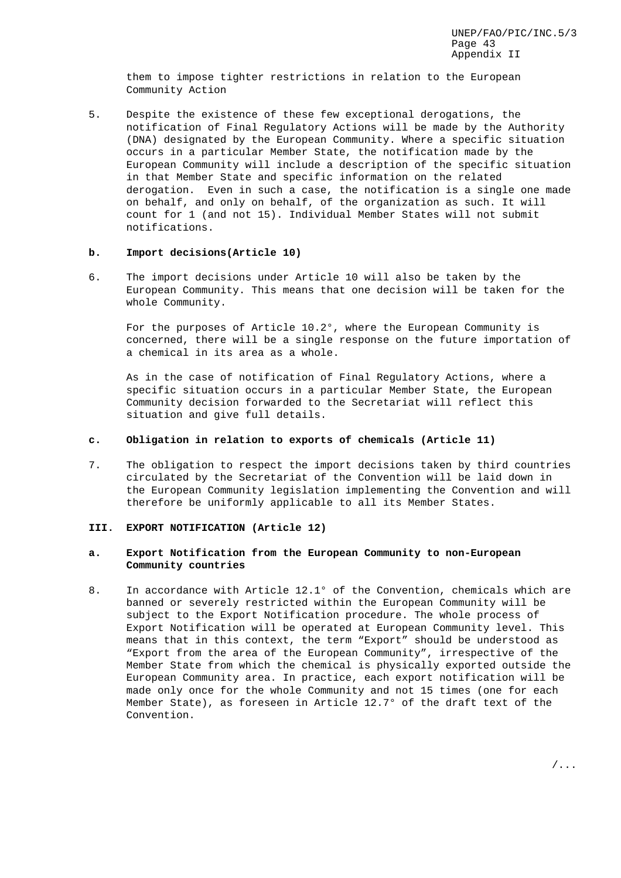them to impose tighter restrictions in relation to the European Community Action

5. Despite the existence of these few exceptional derogations, the notification of Final Regulatory Actions will be made by the Authority (DNA) designated by the European Community. Where a specific situation occurs in a particular Member State, the notification made by the European Community will include a description of the specific situation in that Member State and specific information on the related derogation. Even in such a case, the notification is a single one made on behalf, and only on behalf, of the organization as such. It will count for 1 (and not 15). Individual Member States will not submit notifications.

## **b. Import decisions(Article 10)**

6. The import decisions under Article 10 will also be taken by the European Community. This means that one decision will be taken for the whole Community.

For the purposes of Article 10.2°, where the European Community is concerned, there will be a single response on the future importation of a chemical in its area as a whole.

As in the case of notification of Final Regulatory Actions, where a specific situation occurs in a particular Member State, the European Community decision forwarded to the Secretariat will reflect this situation and give full details.

## **c. Obligation in relation to exports of chemicals (Article 11)**

7. The obligation to respect the import decisions taken by third countries circulated by the Secretariat of the Convention will be laid down in the European Community legislation implementing the Convention and will therefore be uniformly applicable to all its Member States.

#### **III. EXPORT NOTIFICATION (Article 12)**

## **a. Export Notification from the European Community to non-European Community countries**

8. In accordance with Article 12.1° of the Convention, chemicals which are banned or severely restricted within the European Community will be subject to the Export Notification procedure. The whole process of Export Notification will be operated at European Community level. This means that in this context, the term "Export" should be understood as "Export from the area of the European Community", irrespective of the Member State from which the chemical is physically exported outside the European Community area. In practice, each export notification will be made only once for the whole Community and not 15 times (one for each Member State), as foreseen in Article 12.7° of the draft text of the Convention.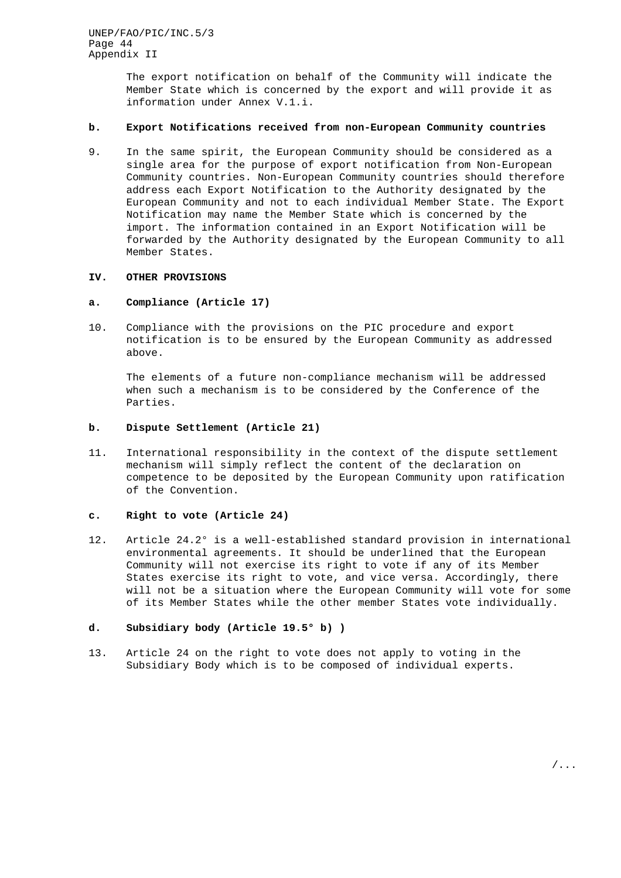The export notification on behalf of the Community will indicate the Member State which is concerned by the export and will provide it as information under Annex V.1.i.

#### **b. Export Notifications received from non-European Community countries**

9. In the same spirit, the European Community should be considered as a single area for the purpose of export notification from Non-European Community countries. Non-European Community countries should therefore address each Export Notification to the Authority designated by the European Community and not to each individual Member State. The Export Notification may name the Member State which is concerned by the import. The information contained in an Export Notification will be forwarded by the Authority designated by the European Community to all Member States.

#### **IV. OTHER PROVISIONS**

#### **a. Compliance (Article 17)**

10. Compliance with the provisions on the PIC procedure and export notification is to be ensured by the European Community as addressed above.

The elements of a future non-compliance mechanism will be addressed when such a mechanism is to be considered by the Conference of the Parties.

#### **b. Dispute Settlement (Article 21)**

11. International responsibility in the context of the dispute settlement mechanism will simply reflect the content of the declaration on competence to be deposited by the European Community upon ratification of the Convention.

#### **c. Right to vote (Article 24)**

12. Article 24.2° is a well-established standard provision in international environmental agreements. It should be underlined that the European Community will not exercise its right to vote if any of its Member States exercise its right to vote, and vice versa. Accordingly, there will not be a situation where the European Community will vote for some of its Member States while the other member States vote individually.

## **d. Subsidiary body (Article 19.5° b) )**

13. Article 24 on the right to vote does not apply to voting in the Subsidiary Body which is to be composed of individual experts.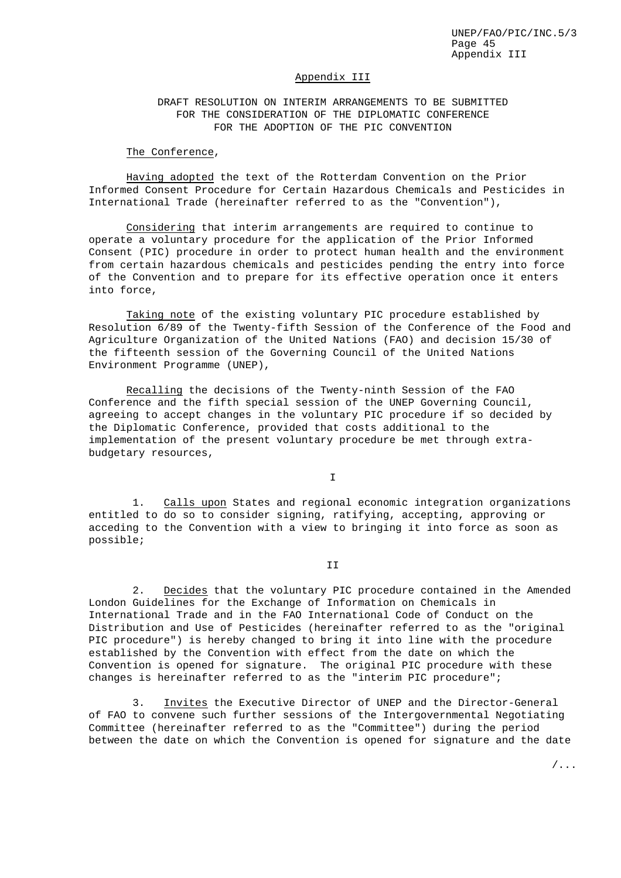## Appendix III

## DRAFT RESOLUTION ON INTERIM ARRANGEMENTS TO BE SUBMITTED FOR THE CONSIDERATION OF THE DIPLOMATIC CONFERENCE FOR THE ADOPTION OF THE PIC CONVENTION

The Conference,

Having adopted the text of the Rotterdam Convention on the Prior Informed Consent Procedure for Certain Hazardous Chemicals and Pesticides in International Trade (hereinafter referred to as the "Convention"),

Considering that interim arrangements are required to continue to operate a voluntary procedure for the application of the Prior Informed Consent (PIC) procedure in order to protect human health and the environment from certain hazardous chemicals and pesticides pending the entry into force of the Convention and to prepare for its effective operation once it enters into force,

Taking note of the existing voluntary PIC procedure established by Resolution 6/89 of the Twenty-fifth Session of the Conference of the Food and Agriculture Organization of the United Nations (FAO) and decision 15/30 of the fifteenth session of the Governing Council of the United Nations Environment Programme (UNEP),

Recalling the decisions of the Twenty-ninth Session of the FAO Conference and the fifth special session of the UNEP Governing Council, agreeing to accept changes in the voluntary PIC procedure if so decided by the Diplomatic Conference, provided that costs additional to the implementation of the present voluntary procedure be met through extrabudgetary resources,

 $\mathbf{I}$ 

1. Calls upon States and regional economic integration organizations entitled to do so to consider signing, ratifying, accepting, approving or acceding to the Convention with a view to bringing it into force as soon as possible;

II

2. Decides that the voluntary PIC procedure contained in the Amended London Guidelines for the Exchange of Information on Chemicals in International Trade and in the FAO International Code of Conduct on the Distribution and Use of Pesticides (hereinafter referred to as the "original PIC procedure") is hereby changed to bring it into line with the procedure established by the Convention with effect from the date on which the Convention is opened for signature. The original PIC procedure with these changes is hereinafter referred to as the "interim PIC procedure";

3. Invites the Executive Director of UNEP and the Director-General of FAO to convene such further sessions of the Intergovernmental Negotiating Committee (hereinafter referred to as the "Committee") during the period between the date on which the Convention is opened for signature and the date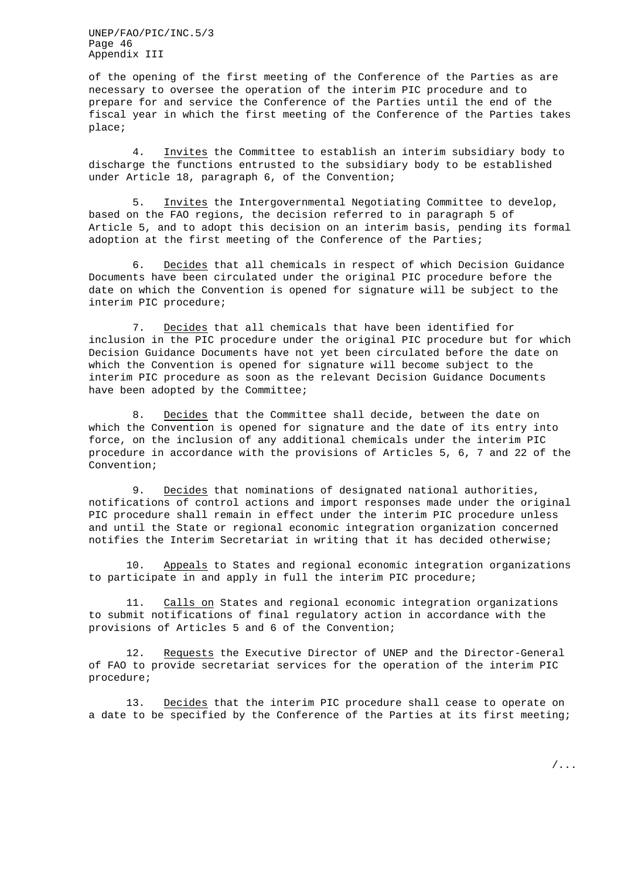UNEP/FAO/PIC/INC.5/3 Page 46 Appendix III

of the opening of the first meeting of the Conference of the Parties as are necessary to oversee the operation of the interim PIC procedure and to prepare for and service the Conference of the Parties until the end of the fiscal year in which the first meeting of the Conference of the Parties takes place;

4. Invites the Committee to establish an interim subsidiary body to discharge the functions entrusted to the subsidiary body to be established under Article 18, paragraph 6, of the Convention;

5. Invites the Intergovernmental Negotiating Committee to develop, based on the FAO regions, the decision referred to in paragraph 5 of Article 5, and to adopt this decision on an interim basis, pending its formal adoption at the first meeting of the Conference of the Parties;

6. Decides that all chemicals in respect of which Decision Guidance Documents have been circulated under the original PIC procedure before the date on which the Convention is opened for signature will be subject to the interim PIC procedure;

7. Decides that all chemicals that have been identified for inclusion in the PIC procedure under the original PIC procedure but for which Decision Guidance Documents have not yet been circulated before the date on which the Convention is opened for signature will become subject to the interim PIC procedure as soon as the relevant Decision Guidance Documents have been adopted by the Committee;

8. Decides that the Committee shall decide, between the date on which the Convention is opened for signature and the date of its entry into force, on the inclusion of any additional chemicals under the interim PIC procedure in accordance with the provisions of Articles 5, 6, 7 and 22 of the Convention;

9. Decides that nominations of designated national authorities, notifications of control actions and import responses made under the original PIC procedure shall remain in effect under the interim PIC procedure unless and until the State or regional economic integration organization concerned notifies the Interim Secretariat in writing that it has decided otherwise;

10. Appeals to States and regional economic integration organizations to participate in and apply in full the interim PIC procedure;

11. Calls on States and regional economic integration organizations to submit notifications of final regulatory action in accordance with the provisions of Articles 5 and 6 of the Convention;

12. Requests the Executive Director of UNEP and the Director-General of FAO to provide secretariat services for the operation of the interim PIC procedure;

13. Decides that the interim PIC procedure shall cease to operate on a date to be specified by the Conference of the Parties at its first meeting;